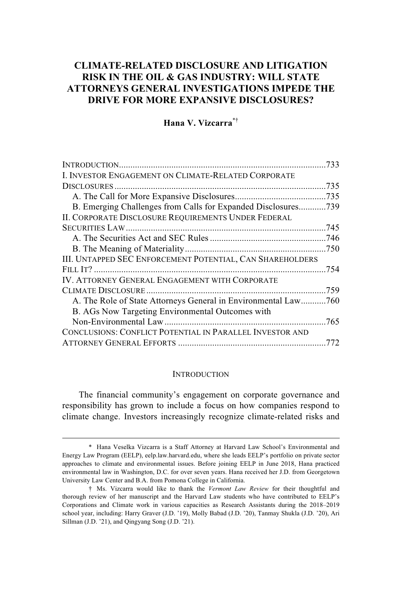# **CLIMATE-RELATED DISCLOSURE AND LITIGATION RISK IN THE OIL & GAS INDUSTRY: WILL STATE ATTORNEYS GENERAL INVESTIGATIONS IMPEDE THE DRIVE FOR MORE EXPANSIVE DISCLOSURES?**

## **Hana V. Vizcarra**\*†

| I. INVESTOR ENGAGEMENT ON CLIMATE-RELATED CORPORATE            |  |
|----------------------------------------------------------------|--|
|                                                                |  |
|                                                                |  |
| B. Emerging Challenges from Calls for Expanded Disclosures739  |  |
| II. CORPORATE DISCLOSURE REQUIREMENTS UNDER FEDERAL            |  |
|                                                                |  |
|                                                                |  |
|                                                                |  |
| III. UNTAPPED SEC ENFORCEMENT POTENTIAL, CAN SHAREHOLDERS      |  |
|                                                                |  |
| IV. ATTORNEY GENERAL ENGAGEMENT WITH CORPORATE                 |  |
|                                                                |  |
| A. The Role of State Attorneys General in Environmental Law760 |  |
| B. AGs Now Targeting Environmental Outcomes with               |  |
|                                                                |  |
| CONCLUSIONS: CONFLICT POTENTIAL IN PARALLEL INVESTOR AND       |  |
|                                                                |  |

#### **INTRODUCTION**

The financial community's engagement on corporate governance and responsibility has grown to include a focus on how companies respond to climate change. Investors increasingly recognize climate-related risks and

<sup>\*</sup> Hana Veselka Vizcarra is a Staff Attorney at Harvard Law School's Environmental and Energy Law Program (EELP), eelp.law.harvard.edu, where she leads EELP's portfolio on private sector approaches to climate and environmental issues. Before joining EELP in June 2018, Hana practiced environmental law in Washington, D.C. for over seven years. Hana received her J.D. from Georgetown University Law Center and B.A. from Pomona College in California.

<sup>†</sup> Ms. Vizcarra would like to thank the *Vermont Law Review* for their thoughtful and thorough review of her manuscript and the Harvard Law students who have contributed to EELP's Corporations and Climate work in various capacities as Research Assistants during the 2018–2019 school year, including: Harry Graver (J.D. '19), Molly Babad (J.D. '20), Tanmay Shukla (J.D. '20), Ari Sillman (J.D. '21), and Qingyang Song (J.D. '21).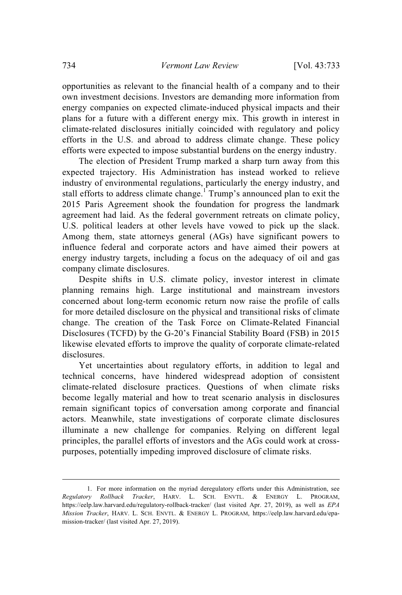opportunities as relevant to the financial health of a company and to their own investment decisions. Investors are demanding more information from energy companies on expected climate-induced physical impacts and their plans for a future with a different energy mix. This growth in interest in climate-related disclosures initially coincided with regulatory and policy efforts in the U.S. and abroad to address climate change. These policy efforts were expected to impose substantial burdens on the energy industry.

The election of President Trump marked a sharp turn away from this expected trajectory. His Administration has instead worked to relieve industry of environmental regulations, particularly the energy industry, and stall efforts to address climate change.<sup>1</sup> Trump's announced plan to exit the 2015 Paris Agreement shook the foundation for progress the landmark agreement had laid. As the federal government retreats on climate policy, U.S. political leaders at other levels have vowed to pick up the slack. Among them, state attorneys general (AGs) have significant powers to influence federal and corporate actors and have aimed their powers at energy industry targets, including a focus on the adequacy of oil and gas company climate disclosures.

Despite shifts in U.S. climate policy, investor interest in climate planning remains high. Large institutional and mainstream investors concerned about long-term economic return now raise the profile of calls for more detailed disclosure on the physical and transitional risks of climate change. The creation of the Task Force on Climate-Related Financial Disclosures (TCFD) by the G-20's Financial Stability Board (FSB) in 2015 likewise elevated efforts to improve the quality of corporate climate-related disclosures.

Yet uncertainties about regulatory efforts, in addition to legal and technical concerns, have hindered widespread adoption of consistent climate-related disclosure practices. Questions of when climate risks become legally material and how to treat scenario analysis in disclosures remain significant topics of conversation among corporate and financial actors. Meanwhile, state investigations of corporate climate disclosures illuminate a new challenge for companies. Relying on different legal principles, the parallel efforts of investors and the AGs could work at crosspurposes, potentially impeding improved disclosure of climate risks.

<sup>1.</sup> For more information on the myriad deregulatory efforts under this Administration, see *Regulatory Rollback Tracker*, HARV. L. SCH. ENVTL. & ENERGY L. PROGRAM, https://eelp.law.harvard.edu/regulatory-rollback-tracker/ (last visited Apr. 27, 2019), as well as *EPA Mission Tracker*, HARV. L. SCH. ENVTL. & ENERGY L. PROGRAM, https://eelp.law.harvard.edu/epamission-tracker/ (last visited Apr. 27, 2019).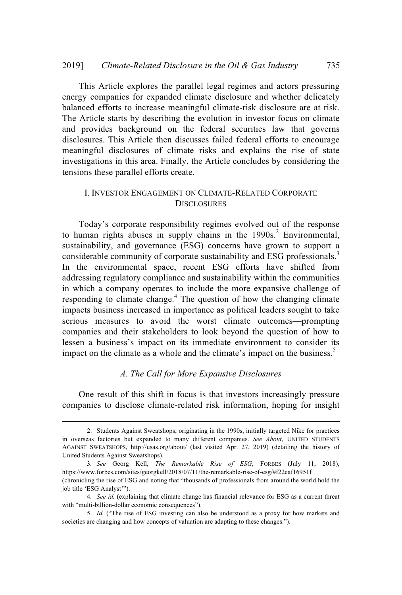This Article explores the parallel legal regimes and actors pressuring energy companies for expanded climate disclosure and whether delicately balanced efforts to increase meaningful climate-risk disclosure are at risk. The Article starts by describing the evolution in investor focus on climate and provides background on the federal securities law that governs disclosures. This Article then discusses failed federal efforts to encourage meaningful disclosures of climate risks and explains the rise of state investigations in this area. Finally, the Article concludes by considering the tensions these parallel efforts create.

### I. INVESTOR ENGAGEMENT ON CLIMATE-RELATED CORPORATE **DISCLOSURES**

Today's corporate responsibility regimes evolved out of the response to human rights abuses in supply chains in the 1990s. 2 Environmental, sustainability, and governance (ESG) concerns have grown to support a considerable community of corporate sustainability and ESG professionals.<sup>3</sup> In the environmental space, recent ESG efforts have shifted from addressing regulatory compliance and sustainability within the communities in which a company operates to include the more expansive challenge of responding to climate change.<sup>4</sup> The question of how the changing climate impacts business increased in importance as political leaders sought to take serious measures to avoid the worst climate outcomes—prompting companies and their stakeholders to look beyond the question of how to lessen a business's impact on its immediate environment to consider its impact on the climate as a whole and the climate's impact on the business.<sup>5</sup>

### *A. The Call for More Expansive Disclosures*

One result of this shift in focus is that investors increasingly pressure companies to disclose climate-related risk information, hoping for insight

<sup>2.</sup> Students Against Sweatshops, originating in the 1990s, initially targeted Nike for practices in overseas factories but expanded to many different companies. *See About*, UNITED STUDENTS AGAINST SWEATSHOPS, http://usas.org/about/ (last visited Apr. 27, 2019) (detailing the history of United Students Against Sweatshops).

<sup>3</sup>*. See* Georg Kell, *The Remarkable Rise of ESG*, FORBES (July 11, 2018), https://www.forbes.com/sites/georgkell/2018/07/11/the-remarkable-rise-of-esg/#f22eaf16951f (chronicling the rise of ESG and noting that "thousands of professionals from around the world hold the job title 'ESG Analyst'").

<sup>4</sup>*. See id.* (explaining that climate change has financial relevance for ESG as a current threat with "multi-billion-dollar economic consequences").

<sup>5.</sup> *Id.* ("The rise of ESG investing can also be understood as a proxy for how markets and societies are changing and how concepts of valuation are adapting to these changes.").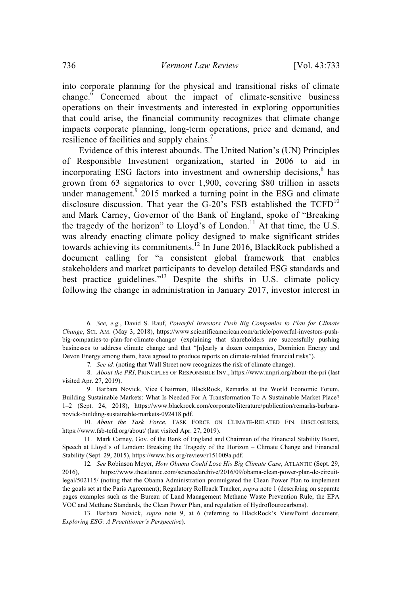into corporate planning for the physical and transitional risks of climate change.<sup>6</sup> Concerned about the impact of climate-sensitive business operations on their investments and interested in exploring opportunities that could arise, the financial community recognizes that climate change impacts corporate planning, long-term operations, price and demand, and resilience of facilities and supply chains.<sup>7</sup>

Evidence of this interest abounds. The United Nation's (UN) Principles of Responsible Investment organization, started in 2006 to aid in incorporating ESG factors into investment and ownership decisions, 8 has grown from 63 signatories to over 1,900, covering \$80 trillion in assets under management.<sup>9</sup> 2015 marked a turning point in the ESG and climate disclosure discussion. That year the G-20's FSB established the  $TCFD<sup>10</sup>$ and Mark Carney, Governor of the Bank of England, spoke of "Breaking the tragedy of the horizon" to Lloyd's of London.<sup>11</sup> At that time, the U.S. was already enacting climate policy designed to make significant strides towards achieving its commitments.<sup>12</sup> In June 2016, BlackRock published a document calling for "a consistent global framework that enables stakeholders and market participants to develop detailed ESG standards and best practice guidelines."<sup>13</sup> Despite the shifts in U.S. climate policy following the change in administration in January 2017, investor interest in

10. *About the Task Force*, TASK FORCE ON CLIMATE-RELATED FIN. DISCLOSURES, https://www.fsb-tcfd.org/about/ (last visited Apr. 27, 2019).

<sup>6</sup>*. See, e.g.*, David S. Rauf, *Powerful Investors Push Big Companies to Plan for Climate Change*, SCI. AM. (May 3, 2018), https://www.scientificamerican.com/article/powerful-investors-pushbig-companies-to-plan-for-climate-change/ (explaining that shareholders are successfully pushing businesses to address climate change and that "[n]early a dozen companies, Dominion Energy and Devon Energy among them, have agreed to produce reports on climate-related financial risks").

<sup>7</sup>*. See id.* (noting that Wall Street now recognizes the risk of climate change).

<sup>8.</sup> *About the PRI*, PRINCIPLES OF RESPONSIBLE INV., https://www.unpri.org/about-the-pri (last visited Apr. 27, 2019).

<sup>9.</sup> Barbara Novick, Vice Chairman, BlackRock, Remarks at the World Economic Forum, Building Sustainable Markets: What Is Needed For A Transformation To A Sustainable Market Place? 1–2 (Sept. 24, 2018), https://www.blackrock.com/corporate/literature/publication/remarks-barbaranovick-building-sustainable-markets-092418.pdf.

<sup>11.</sup> Mark Carney, Gov. of the Bank of England and Chairman of the Financial Stability Board, Speech at Lloyd's of London: Breaking the Tragedy of the Horizon – Climate Change and Financial Stability (Sept. 29, 2015), https://www.bis.org/review/r151009a.pdf.

<sup>12</sup>*. See* Robinson Meyer, *How Obama Could Lose His Big Climate Case*, ATLANTIC (Sept. 29, 2016), https://www.theatlantic.com/science/archive/2016/09/obama-clean-power-plan-dc-circuitlegal/502115/ (noting that the Obama Administration promulgated the Clean Power Plan to implement the goals set at the Paris Agreement); Regulatory Rollback Tracker, *supra* note 1 (describing on separate pages examples such as the Bureau of Land Management Methane Waste Prevention Rule, the EPA VOC and Methane Standards, the Clean Power Plan, and regulation of Hydroflourocarbons).

<sup>13.</sup> Barbara Novick, *supra* note 9, at 6 (referring to BlackRock's ViewPoint document, *Exploring ESG: A Practitioner's Perspective*).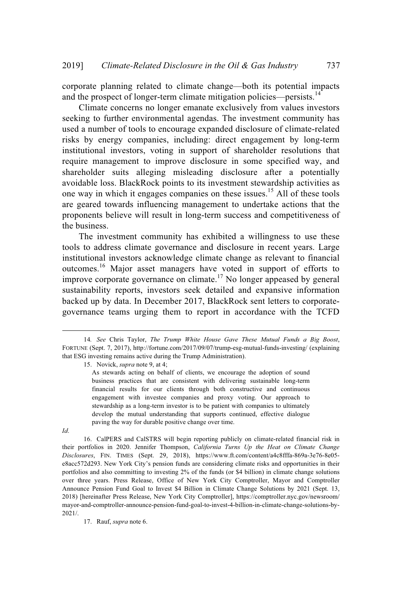corporate planning related to climate change—both its potential impacts and the prospect of longer-term climate mitigation policies—persists. $14$ 

Climate concerns no longer emanate exclusively from values investors seeking to further environmental agendas. The investment community has used a number of tools to encourage expanded disclosure of climate-related risks by energy companies, including: direct engagement by long-term institutional investors, voting in support of shareholder resolutions that require management to improve disclosure in some specified way, and shareholder suits alleging misleading disclosure after a potentially avoidable loss. BlackRock points to its investment stewardship activities as one way in which it engages companies on these issues.<sup>15</sup> All of these tools are geared towards influencing management to undertake actions that the proponents believe will result in long-term success and competitiveness of the business.

The investment community has exhibited a willingness to use these tools to address climate governance and disclosure in recent years. Large institutional investors acknowledge climate change as relevant to financial outcomes.<sup>16</sup> Major asset managers have voted in support of efforts to improve corporate governance on climate.<sup>17</sup> No longer appeased by general sustainability reports, investors seek detailed and expansive information backed up by data. In December 2017, BlackRock sent letters to corporategovernance teams urging them to report in accordance with the TCFD

15. Novick, *supra* note 9, at 4;

*Id*.

16. CalPERS and CalSTRS will begin reporting publicly on climate-related financial risk in their portfolios in 2020. Jennifer Thompson, *California Turns Up the Heat on Climate Change Disclosures*, FIN. TIMES (Sept. 29, 2018), https://www.ft.com/content/a4c8fffa-869a-3e76-8e05 e8acc572d293. New York City's pension funds are considering climate risks and opportunities in their portfolios and also committing to investing 2% of the funds (or \$4 billion) in climate change solutions over three years. Press Release, Office of New York City Comptroller, Mayor and Comptroller Announce Pension Fund Goal to Invest \$4 Billion in Climate Change Solutions by 2021 (Sept. 13, 2018) [hereinafter Press Release, New York City Comptroller], https://comptroller.nyc.gov/newsroom/ mayor-and-comptroller-announce-pension-fund-goal-to-invest-4-billion-in-climate-change-solutions-by-2021/.

17. Rauf, *supra* note 6.

<sup>14</sup>*. See* Chris Taylor, *The Trump White House Gave These Mutual Funds a Big Boost*, FORTUNE (Sept. 7, 2017), http://fortune.com/2017/09/07/trump-esg-mutual-funds-investing/ (explaining that ESG investing remains active during the Trump Administration).

As stewards acting on behalf of clients, we encourage the adoption of sound business practices that are consistent with delivering sustainable long-term financial results for our clients through both constructive and continuous engagement with investee companies and proxy voting. Our approach to stewardship as a long-term investor is to be patient with companies to ultimately develop the mutual understanding that supports continued, effective dialogue paving the way for durable positive change over time.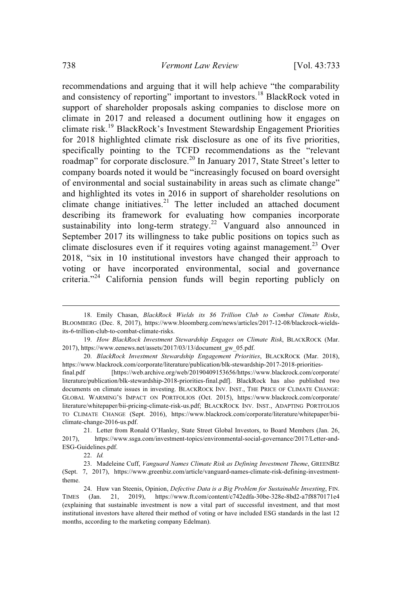recommendations and arguing that it will help achieve "the comparability and consistency of reporting" important to investors.<sup>18</sup> BlackRock voted in support of shareholder proposals asking companies to disclose more on climate in 2017 and released a document outlining how it engages on climate risk.<sup>19</sup> BlackRock's Investment Stewardship Engagement Priorities for 2018 highlighted climate risk disclosure as one of its five priorities, specifically pointing to the TCFD recommendations as the "relevant roadmap" for corporate disclosure.<sup>20</sup> In January 2017, State Street's letter to company boards noted it would be "increasingly focused on board oversight of environmental and social sustainability in areas such as climate change" and highlighted its votes in 2016 in support of shareholder resolutions on climate change initiatives.<sup>21</sup> The letter included an attached document describing its framework for evaluating how companies incorporate sustainability into long-term strategy.<sup>22</sup> Vanguard also announced in September 2017 its willingness to take public positions on topics such as climate disclosures even if it requires voting against management.<sup>23</sup> Over 2018, "six in 10 institutional investors have changed their approach to voting or have incorporated environmental, social and governance criteria."<sup>24</sup> California pension funds will begin reporting publicly on

<sup>18.</sup> Emily Chasan, *BlackRock Wields its \$6 Trillion Club to Combat Climate Risks*, BLOOMBERG (Dec. 8, 2017), https://www.bloomberg.com/news/articles/2017-12-08/blackrock-wieldsits-6-trillion-club-to-combat-climate-risks.

<sup>19.</sup> *How BlackRock Investment Stewardship Engages on Climate Risk*, BLACKROCK (Mar. 2017), https://www.eenews.net/assets/2017/03/13/document\_gw\_05.pdf.

<sup>20.</sup> *BlackRock Investment Stewardship Engagement Priorities*, BLACKROCK (Mar. 2018), https://www.blackrock.com/corporate/literature/publication/blk-stewardship-2017-2018-priorities-

final.pdf [https://web.archive.org/web/20190409153656/https://www.blackrock.com/corporate/ literature/publication/blk-stewardship-2018-priorities-final.pdf]. BlackRock has also published two documents on climate issues in investing. BLACKROCK INV. INST., THE PRICE OF CLIMATE CHANGE: GLOBAL WARMING'S IMPACT ON PORTFOLIOS (Oct. 2015), https://www.blackrock.com/corporate/ literature/whitepaper/bii-pricing-climate-risk-us.pdf; BLACKROCK INV. INST., ADAPTING PORTFOLIOS TO CLIMATE CHANGE (Sept. 2016), https://www.blackrock.com/corporate/literature/whitepaper/biiclimate-change-2016-us.pdf.

<sup>21.</sup> Letter from Ronald O'Hanley, State Street Global Investors, to Board Members (Jan. 26, 2017), https://www.ssga.com/investment-topics/environmental-social-governance/2017/Letter-and-ESG-Guidelines.pdf.

<sup>22.</sup> *Id.*

<sup>23.</sup> Madeleine Cuff, *Vanguard Names Climate Risk as Defining Investment Theme*, GREENBIZ (Sept. 7, 2017), https://www.greenbiz.com/article/vanguard-names-climate-risk-defining-investmenttheme.

<sup>24.</sup> Huw van Steenis, Opinion, *Defective Data is a Big Problem for Sustainable Investing*, FIN. TIMES (Jan. 21, 2019), https://www.ft.com/content/c742edfa-30be-328e-8bd2-a7f8870171e4 (explaining that sustainable investment is now a vital part of successful investment, and that most institutional investors have altered their method of voting or have included ESG standards in the last 12 months, according to the marketing company Edelman).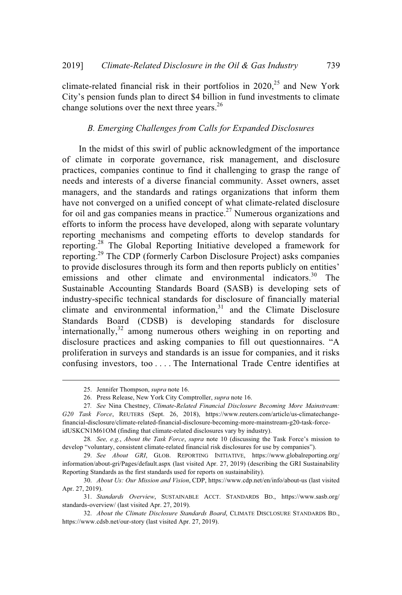climate-related financial risk in their portfolios in  $2020$ ,<sup>25</sup> and New York City's pension funds plan to direct \$4 billion in fund investments to climate change solutions over the next three years.<sup>26</sup>

### *B. Emerging Challenges from Calls for Expanded Disclosures*

In the midst of this swirl of public acknowledgment of the importance of climate in corporate governance, risk management, and disclosure practices, companies continue to find it challenging to grasp the range of needs and interests of a diverse financial community. Asset owners, asset managers, and the standards and ratings organizations that inform them have not converged on a unified concept of what climate-related disclosure for oil and gas companies means in practice. $27$  Numerous organizations and efforts to inform the process have developed, along with separate voluntary reporting mechanisms and competing efforts to develop standards for reporting.<sup>28</sup> The Global Reporting Initiative developed a framework for reporting.<sup>29</sup> The CDP (formerly Carbon Disclosure Project) asks companies to provide disclosures through its form and then reports publicly on entities' emissions and other climate and environmental indicators.<sup>30</sup> The Sustainable Accounting Standards Board (SASB) is developing sets of industry-specific technical standards for disclosure of financially material climate and environmental information,<sup>31</sup> and the Climate Disclosure Standards Board (CDSB) is developing standards for disclosure internationally,<sup>32</sup> among numerous others weighing in on reporting and disclosure practices and asking companies to fill out questionnaires. "A proliferation in surveys and standards is an issue for companies, and it risks confusing investors, too . . . . The International Trade Centre identifies at

<sup>25.</sup> Jennifer Thompson, *supra* note 16.

<sup>26.</sup> Press Release, New York City Comptroller, *supra* note 16.

<sup>27</sup>*. See* Nina Chestney, *Climate-Related Financial Disclosure Becoming More Mainstream: G20 Task Force*, REUTERS (Sept. 26, 2018), https://www.reuters.com/article/us-climatechangefinancial-disclosure/climate-related-financial-disclosure-becoming-more-mainstream-g20-task-forceidUSKCN1M61OM (finding that climate-related disclosures vary by industry).

<sup>28</sup>*. See, e.g.*, *About the Task Force*, *supra* note 10 (discussing the Task Force's mission to develop "voluntary, consistent climate-related financial risk disclosures for use by companies").

<sup>29.</sup> *See About GRI*, GLOB. REPORTING INITIATIVE, https://www.globalreporting.org/ information/about-gri/Pages/default.aspx (last visited Apr. 27, 2019) (describing the GRI Sustainability Reporting Standards as the first standards used for reports on sustainability).

<sup>30.</sup> *About Us: Our Mission and Vision*, CDP, https://www.cdp.net/en/info/about-us (last visited Apr. 27, 2019).

<sup>31.</sup> *Standards Overview*, SUSTAINABLE ACCT. STANDARDS BD., https://www.sasb.org/ standards-overview/ (last visited Apr. 27, 2019).

<sup>32.</sup> *About the Climate Disclosure Standards Board*, CLIMATE DISCLOSURE STANDARDS BD., https://www.cdsb.net/our-story (last visited Apr. 27, 2019).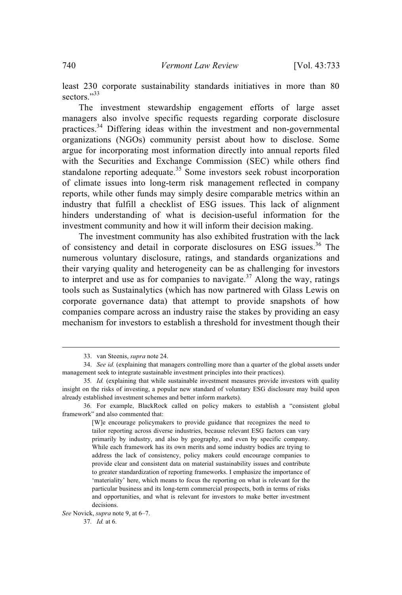least 230 corporate sustainability standards initiatives in more than 80 sectors."33

The investment stewardship engagement efforts of large asset managers also involve specific requests regarding corporate disclosure practices.<sup>34</sup> Differing ideas within the investment and non-governmental organizations (NGOs) community persist about how to disclose. Some argue for incorporating most information directly into annual reports filed with the Securities and Exchange Commission (SEC) while others find standalone reporting adequate.<sup>35</sup> Some investors seek robust incorporation of climate issues into long-term risk management reflected in company reports, while other funds may simply desire comparable metrics within an industry that fulfill a checklist of ESG issues. This lack of alignment hinders understanding of what is decision-useful information for the investment community and how it will inform their decision making.

The investment community has also exhibited frustration with the lack of consistency and detail in corporate disclosures on ESG issues.<sup>36</sup> The numerous voluntary disclosure, ratings, and standards organizations and their varying quality and heterogeneity can be as challenging for investors to interpret and use as for companies to navigate.<sup>37</sup> Along the way, ratings tools such as Sustainalytics (which has now partnered with Glass Lewis on corporate governance data) that attempt to provide snapshots of how companies compare across an industry raise the stakes by providing an easy mechanism for investors to establish a threshold for investment though their

[W]e encourage policymakers to provide guidance that recognizes the need to tailor reporting across diverse industries, because relevant ESG factors can vary primarily by industry, and also by geography, and even by specific company. While each framework has its own merits and some industry bodies are trying to address the lack of consistency, policy makers could encourage companies to provide clear and consistent data on material sustainability issues and contribute to greater standardization of reporting frameworks. I emphasize the importance of 'materiality' here, which means to focus the reporting on what is relevant for the particular business and its long-term commercial prospects, both in terms of risks and opportunities, and what is relevant for investors to make better investment decisions.

<sup>33.</sup> van Steenis, *supra* note 24.

<sup>34.</sup> *See id.* (explaining that managers controlling more than a quarter of the global assets under management seek to integrate sustainable investment principles into their practices).

<sup>35</sup>*. Id.* (explaining that while sustainable investment measures provide investors with quality insight on the risks of investing, a popular new standard of voluntary ESG disclosure may build upon already established investment schemes and better inform markets).

<sup>36</sup>*.* For example, BlackRock called on policy makers to establish a "consistent global framework" and also commented that:

*See* Novick, *supra* note 9, at 6–7.

<sup>37</sup>*. Id.* at 6.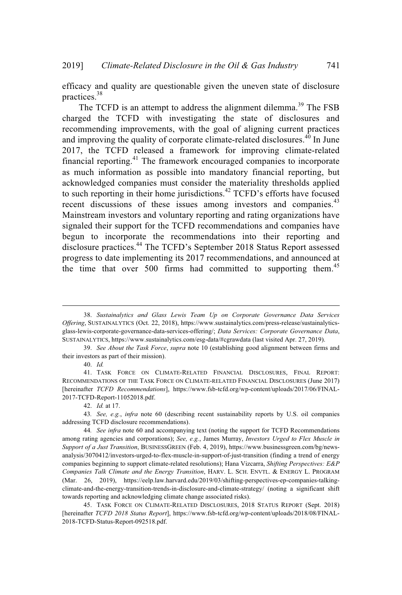efficacy and quality are questionable given the uneven state of disclosure practices. 38

The TCFD is an attempt to address the alignment dilemma.<sup>39</sup> The FSB charged the TCFD with investigating the state of disclosures and recommending improvements, with the goal of aligning current practices and improving the quality of corporate climate-related disclosures.<sup>40</sup> In June 2017, the TCFD released a framework for improving climate-related financial reporting.<sup>41</sup> The framework encouraged companies to incorporate as much information as possible into mandatory financial reporting, but acknowledged companies must consider the materiality thresholds applied to such reporting in their home jurisdictions.<sup>42</sup> TCFD's efforts have focused recent discussions of these issues among investors and companies.<sup>43</sup> Mainstream investors and voluntary reporting and rating organizations have signaled their support for the TCFD recommendations and companies have begun to incorporate the recommendations into their reporting and disclosure practices. <sup>44</sup> The TCFD's September 2018 Status Report assessed progress to date implementing its 2017 recommendations, and announced at the time that over 500 firms had committed to supporting them.<sup>45</sup>

40. *Id.*

<sup>38.</sup> *Sustainalytics and Glass Lewis Team Up on Corporate Governance Data Services Offering*, SUSTAINALYTICS (Oct. 22, 2018), https://www.sustainalytics.com/press-release/sustainalyticsglass-lewis-corporate-governance-data-services-offering/; *Data Services: Corporate Governance Data*, SUSTAINALYTICS, https://www.sustainalytics.com/esg-data/#cgrawdata (last visited Apr. 27, 2019).

<sup>39.</sup> *See About the Task Force*, *supra* note 10 (establishing good alignment between firms and their investors as part of their mission).

<sup>41.</sup> TASK FORCE ON CLIMATE-RELATED FINANCIAL DISCLOSURES, FINAL REPORT: RECOMMENDATIONS OF THE TASK FORCE ON CLIMATE-RELATED FINANCIAL DISCLOSURES (June 2017) [hereinafter *TCFD Recommendations*], https://www.fsb-tcfd.org/wp-content/uploads/2017/06/FINAL-2017-TCFD-Report-11052018.pdf.

<sup>42.</sup> *Id.* at 17.

<sup>43</sup>*. See, e.g.*, *infra* note 60 (describing recent sustainability reports by U.S. oil companies addressing TCFD disclosure recommendations).

<sup>44</sup>*. See infra* note 60 and accompanying text (noting the support for TCFD Recommendations among rating agencies and corporations); *See, e.g.*, James Murray, *Investors Urged to Flex Muscle in Support of a Just Transition*, BUSINESSGREEN (Feb. 4, 2019), https://www.businessgreen.com/bg/newsanalysis/3070412/investors-urged-to-flex-muscle-in-support-of-just-transition (finding a trend of energy companies beginning to support climate-related resolutions); Hana Vizcarra, *Shifting Perspectives: E&P Companies Talk Climate and the Energy Transition*, HARV. L. SCH. ENVTL. & ENERGY L. PROGRAM (Mar. 26, 2019), https://eelp.law.harvard.edu/2019/03/shifting-perspectives-ep-companies-talkingclimate-and-the-energy-transition-trends-in-disclosure-and-climate-strategy/ (noting a significant shift towards reporting and acknowledging climate change associated risks).

<sup>45.</sup> TASK FORCE ON CLIMATE-RELATED DISCLOSURES, 2018 STATUS REPORT (Sept. 2018) [hereinafter *TCFD 2018 Status Report*], https://www.fsb-tcfd.org/wp-content/uploads/2018/08/FINAL-2018-TCFD-Status-Report-092518.pdf.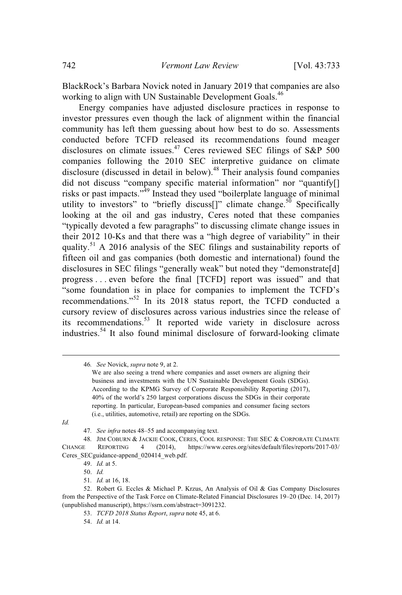BlackRock's Barbara Novick noted in January 2019 that companies are also working to align with UN Sustainable Development Goals.<sup>46</sup>

Energy companies have adjusted disclosure practices in response to investor pressures even though the lack of alignment within the financial community has left them guessing about how best to do so. Assessments conducted before TCFD released its recommendations found meager disclosures on climate issues.<sup>47</sup> Ceres reviewed SEC filings of S&P 500 companies following the 2010 SEC interpretive guidance on climate disclosure (discussed in detail in below). $48$  Their analysis found companies did not discuss "company specific material information" nor "quantify[] risks or past impacts."<sup>49</sup> Instead they used "boilerplate language of minimal utility to investors" to "briefly discuss<sup>[]"</sup> climate change.<sup>50</sup> Specifically looking at the oil and gas industry, Ceres noted that these companies "typically devoted a few paragraphs" to discussing climate change issues in their 2012 10-Ks and that there was a "high degree of variability" in their quality.<sup>51</sup> A 2016 analysis of the SEC filings and sustainability reports of fifteen oil and gas companies (both domestic and international) found the disclosures in SEC filings "generally weak" but noted they "demonstrate[d] progress . . . even before the final [TCFD] report was issued" and that "some foundation is in place for companies to implement the TCFD's recommendations."<sup>52</sup> In its 2018 status report, the TCFD conducted a cursory review of disclosures across various industries since the release of its recommendations.<sup>53</sup> It reported wide variety in disclosure across industries.<sup>54</sup> It also found minimal disclosure of forward-looking climate

*Id.*

50. *Id.*

<sup>46</sup>*. See* Novick, *supra* note 9, at 2.

We are also seeing a trend where companies and asset owners are aligning their business and investments with the UN Sustainable Development Goals (SDGs). According to the KPMG Survey of Corporate Responsibility Reporting (2017), 40% of the world's 250 largest corporations discuss the SDGs in their corporate reporting. In particular, European-based companies and consumer facing sectors (i.e., utilities, automotive, retail) are reporting on the SDGs.

<sup>47</sup>*. See infra* notes 48–55 and accompanying text.

<sup>48</sup>*.* JIM COBURN & JACKIE COOK, CERES, COOL RESPONSE: THE SEC & CORPORATE CLIMATE CHANGE REPORTING 4 (2014), https://www.ceres.org/sites/default/files/reports/2017-03/ Ceres\_SECguidance-append\_020414\_web.pdf.

<sup>49.</sup> *Id.* at 5.

<sup>51</sup>*. Id.* at 16, 18.

<sup>52.</sup> Robert G. Eccles & Michael P. Krzus, An Analysis of Oil & Gas Company Disclosures from the Perspective of the Task Force on Climate-Related Financial Disclosures 19–20 (Dec. 14, 2017) (unpublished manuscript), https://ssrn.com/abstract=3091232.

<sup>53.</sup> *TCFD 2018 Status Report*, *supra* note 45, at 6.

<sup>54.</sup> *Id.* at 14.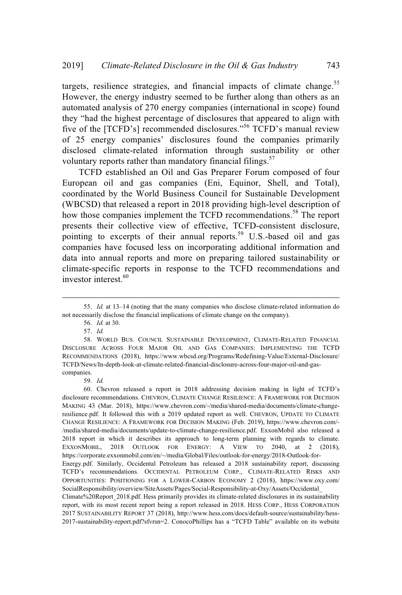targets, resilience strategies, and financial impacts of climate change.<sup>55</sup> However, the energy industry seemed to be further along than others as an automated analysis of 270 energy companies (international in scope) found they "had the highest percentage of disclosures that appeared to align with five of the [TCFD's] recommended disclosures."<sup>56</sup> TCFD's manual review of 25 energy companies' disclosures found the companies primarily disclosed climate-related information through sustainability or other voluntary reports rather than mandatory financial filings.<sup>57</sup>

TCFD established an Oil and Gas Preparer Forum composed of four European oil and gas companies (Eni, Equinor, Shell, and Total), coordinated by the World Business Council for Sustainable Development (WBCSD) that released a report in 2018 providing high-level description of how those companies implement the TCFD recommendations.<sup>58</sup> The report presents their collective view of effective, TCFD-consistent disclosure, pointing to excerpts of their annual reports.<sup>59</sup> U.S.-based oil and gas companies have focused less on incorporating additional information and data into annual reports and more on preparing tailored sustainability or climate-specific reports in response to the TCFD recommendations and investor interest.<sup>60</sup>

59. *Id.*

60. Chevron released a report in 2018 addressing decision making in light of TCFD's disclosure recommendations. CHEVRON, CLIMATE CHANGE RESILIENCE: A FRAMEWORK FOR DECISION MAKING 43 (Mar. 2018), https://www.chevron.com/-/media/shared-media/documents/climate-changeresilience.pdf. It followed this with a 2019 updated report as well. CHEVRON, UPDATE TO CLIMATE CHANGE RESILIENCE: A FRAMEWORK FOR DECISION MAKING (Feb. 2019), https://www.chevron.com/- /media/shared-media/documents/update-to-climate-change-resilience.pdf. ExxonMobil also released a 2018 report in which it describes its approach to long-term planning with regards to climate. EXXONMOBIL, 2018 OUTLOOK FOR ENERGY: A VIEW TO 2040, at 2 (2018), https://corporate.exxonmobil.com/en/~/media/Global/Files/outlook-for-energy/2018-Outlook-for-Energy.pdf. Similarly, Occidental Petroleum has released a 2018 sustainability report, discussing TCFD's recommendations. OCCIDENTAL PETROLEUM CORP., CLIMATE-RELATED RISKS AND OPPORTUNITIES: POSITIONING FOR A LOWER-CARBON ECONOMY 2 (2018), https://www.oxy.com/

SocialResponsibility/overview/SiteAssets/Pages/Social-Responsibility-at-Oxy/Assets/Occidental\_ Climate%20Report\_2018.pdf. Hess primarily provides its climate-related disclosures in its sustainability report, with its most recent report being a report released in 2018. HESS CORP., HESS CORPORATION 2017 SUSTAINABILITY REPORT 37 (2018), http://www.hess.com/docs/default-source/sustainability/hess-2017-sustainability-report.pdf?sfvrsn=2. ConocoPhillips has a "TCFD Table" available on its website

<sup>55.</sup> *Id.* at 13–14 (noting that the many companies who disclose climate-related information do not necessarily disclose the financial implications of climate change on the company).

<sup>56.</sup> *Id.* at 30.

<sup>57.</sup> *Id.*

<sup>58.</sup> WORLD BUS. COUNCIL SUSTAINABLE DEVELOPMENT, CLIMATE-RELATED FINANCIAL DISCLOSURE ACROSS FOUR MAJOR OIL AND GAS COMPANIES: IMPLEMENTING THE TCFD RECOMMENDATIONS (2018), https://www.wbcsd.org/Programs/Redefining-Value/External-Disclosure/ TCFD/News/In-depth-look-at-climate-related-financial-disclosure-across-four-major-oil-and-gascompanies.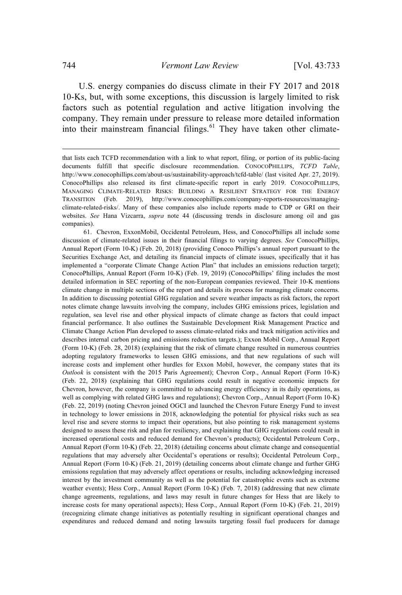U.S. energy companies do discuss climate in their FY 2017 and 2018 10-Ks, but, with some exceptions, this discussion is largely limited to risk factors such as potential regulation and active litigation involving the company. They remain under pressure to release more detailed information into their mainstream financial filings.<sup>61</sup> They have taken other climate-

that lists each TCFD recommendation with a link to what report, filing, or portion of its public-facing documents fulfill that specific disclosure recommendation. CONOCOPHILLIPS, *TCFD Table*, http://www.conocophillips.com/about-us/sustainability-approach/tcfd-table/ (last visited Apr. 27, 2019). ConocoPhillips also released its first climate-specific report in early 2019. CONOCOPHILLIPS, MANAGING CLIMATE-RELATED RISKS: BUILDING A RESILIENT STRATEGY FOR THE ENERGY TRANSITION (Feb. 2019), http://www.conocophillips.com/company-reports-resources/managingclimate-related-risks/. Many of these companies also include reports made to CDP or GRI on their websites. *See* Hana Vizcarra, *supra* note 44 (discussing trends in disclosure among oil and gas companies).

<sup>61.</sup> Chevron, ExxonMobil, Occidental Petroleum, Hess, and ConocoPhillips all include some discussion of climate-related issues in their financial filings to varying degrees. *See* ConocoPhillips, Annual Report (Form 10-K) (Feb. 20, 2018) (providing Conoco Phillips's annual report pursuant to the Securities Exchange Act, and detailing its financial impacts of climate issues, specifically that it has implemented a "corporate Climate Change Action Plan" that includes an emissions reduction target); ConocoPhillips, Annual Report (Form 10-K) (Feb. 19, 2019) (ConocoPhillips' filing includes the most detailed information in SEC reporting of the non-European companies reviewed. Their 10-K mentions climate change in multiple sections of the report and details its process for managing climate concerns. In addition to discussing potential GHG regulation and severe weather impacts as risk factors, the report notes climate change lawsuits involving the company, includes GHG emissions prices, legislation and regulation, sea level rise and other physical impacts of climate change as factors that could impact financial performance. It also outlines the Sustainable Development Risk Management Practice and Climate Change Action Plan developed to assess climate-related risks and track mitigation activities and describes internal carbon pricing and emissions reduction targets.); Exxon Mobil Corp., Annual Report (Form 10-K) (Feb. 28, 2018) (explaining that the risk of climate change resulted in numerous countries adopting regulatory frameworks to lessen GHG emissions, and that new regulations of such will increase costs and implement other hurdles for Exxon Mobil, however, the company states that its *Outlook* is consistent with the 2015 Paris Agreement); Chevron Corp., Annual Report (Form 10-K) (Feb. 22, 2018) (explaining that GHG regulations could result in negative economic impacts for Chevron, however, the company is committed to advancing energy efficiency in its daily operations, as well as complying with related GHG laws and regulations); Chevron Corp., Annual Report (Form 10-K) (Feb. 22, 2019) (noting Chevron joined OGCI and launched the Chevron Future Energy Fund to invest in technology to lower emissions in 2018, acknowledging the potential for physical risks such as sea level rise and severe storms to impact their operations, but also pointing to risk management systems designed to assess these risk and plan for resiliency, and explaining that GHG regulations could result in increased operational costs and reduced demand for Chevron's products); Occidental Petroleum Corp., Annual Report (Form 10-K) (Feb. 22, 2018) (detailing concerns about climate change and consequential regulations that may adversely alter Occidental's operations or results); Occidental Petroleum Corp., Annual Report (Form 10-K) (Feb. 21, 2019) (detailing concerns about climate change and further GHG emissions regulation that may adversely affect operations or results, including acknowledging increased interest by the investment community as well as the potential for catastrophic events such as extreme weather events); Hess Corp., Annual Report (Form 10-K) (Feb. 7, 2018) (addressing that new climate change agreements, regulations, and laws may result in future changes for Hess that are likely to increase costs for many operational aspects); Hess Corp., Annual Report (Form 10-K) (Feb. 21, 2019) (recognizing climate change initiatives as potentially resulting in significant operational changes and expenditures and reduced demand and noting lawsuits targeting fossil fuel producers for damage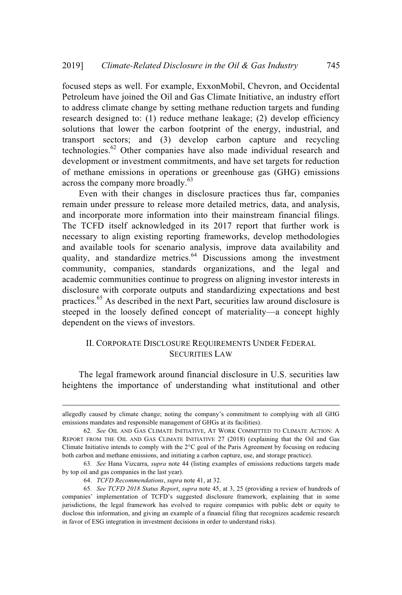focused steps as well. For example, ExxonMobil, Chevron, and Occidental Petroleum have joined the Oil and Gas Climate Initiative, an industry effort to address climate change by setting methane reduction targets and funding research designed to: (1) reduce methane leakage; (2) develop efficiency solutions that lower the carbon footprint of the energy, industrial, and transport sectors; and (3) develop carbon capture and recycling technologies. $62$  Other companies have also made individual research and development or investment commitments, and have set targets for reduction of methane emissions in operations or greenhouse gas (GHG) emissions across the company more broadly.<sup>63</sup>

Even with their changes in disclosure practices thus far, companies remain under pressure to release more detailed metrics, data, and analysis, and incorporate more information into their mainstream financial filings. The TCFD itself acknowledged in its 2017 report that further work is necessary to align existing reporting frameworks, develop methodologies and available tools for scenario analysis, improve data availability and quality, and standardize metrics.<sup>64</sup> Discussions among the investment community, companies, standards organizations, and the legal and academic communities continue to progress on aligning investor interests in disclosure with corporate outputs and standardizing expectations and best practices.<sup>65</sup> As described in the next Part, securities law around disclosure is steeped in the loosely defined concept of materiality—a concept highly dependent on the views of investors.

### II. CORPORATE DISCLOSURE REQUIREMENTS UNDER FEDERAL SECURITIES LAW

The legal framework around financial disclosure in U.S. securities law heightens the importance of understanding what institutional and other

allegedly caused by climate change; noting the company's commitment to complying with all GHG emissions mandates and responsible management of GHGs at its facilities).

<sup>62</sup>*. See* OIL AND GAS CLIMATE INITIATIVE, AT WORK COMMITTED TO CLIMATE ACTION: A REPORT FROM THE OIL AND GAS CLIMATE INITIATIVE 27 (2018) (explaining that the Oil and Gas Climate Initiative intends to comply with the 2°C goal of the Paris Agreement by focusing on reducing both carbon and methane emissions, and initiating a carbon capture, use, and storage practice).

<sup>63</sup>*. See* Hana Vizcarra, *supra* note 44 (listing examples of emissions reductions targets made by top oil and gas companies in the last year).

<sup>64.</sup> *TCFD Recommendations*, *supra* note 41, at 32.

<sup>65</sup>*. See TCFD 2018 Status Report*, *supra* note 45, at 3, 25 (providing a review of hundreds of companies' implementation of TCFD's suggested disclosure framework, explaining that in some jurisdictions, the legal framework has evolved to require companies with public debt or equity to disclose this information, and giving an example of a financial filing that recognizes academic research in favor of ESG integration in investment decisions in order to understand risks).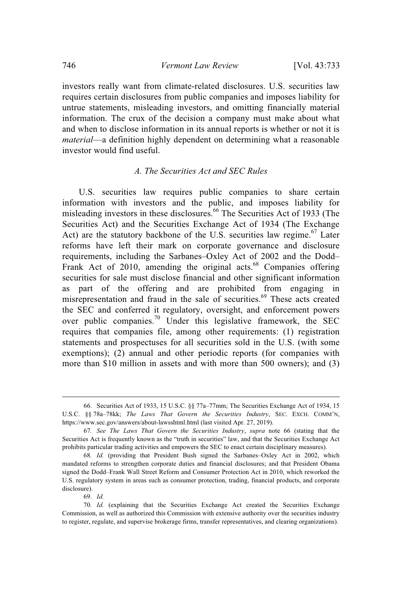investors really want from climate-related disclosures. U.S. securities law requires certain disclosures from public companies and imposes liability for untrue statements, misleading investors, and omitting financially material information. The crux of the decision a company must make about what and when to disclose information in its annual reports is whether or not it is *material*—a definition highly dependent on determining what a reasonable investor would find useful.

### *A. The Securities Act and SEC Rules*

U.S. securities law requires public companies to share certain information with investors and the public, and imposes liability for misleading investors in these disclosures. <sup>66</sup> The Securities Act of 1933 (The Securities Act) and the Securities Exchange Act of 1934 (The Exchange Act) are the statutory backbone of the U.S. securities law regime.<sup>67</sup> Later reforms have left their mark on corporate governance and disclosure requirements, including the Sarbanes–Oxley Act of 2002 and the Dodd– Frank Act of 2010, amending the original acts.<sup>68</sup> Companies offering securities for sale must disclose financial and other significant information as part of the offering and are prohibited from engaging in misrepresentation and fraud in the sale of securities.<sup>69</sup> These acts created the SEC and conferred it regulatory, oversight, and enforcement powers over public companies.<sup>70</sup> Under this legislative framework, the SEC requires that companies file, among other requirements: (1) registration statements and prospectuses for all securities sold in the U.S. (with some exemptions); (2) annual and other periodic reports (for companies with more than \$10 million in assets and with more than 500 owners); and (3)

69. *Id.*

<sup>66.</sup> Securities Act of 1933, 15 U.S.C. §§ 77a–77mm; The Securities Exchange Act of 1934, 15 U.S.C. §§ 78a–78kk; *The Laws That Govern the Securities Industry*, SEC. EXCH. COMM'N, https://www.sec.gov/answers/about-lawsshtml.html (last visited Apr. 27, 2019).

<sup>67</sup>*. See The Laws That Govern the Securities Industry*, *supra* note 66 (stating that the Securities Act is frequently known as the "truth in securities" law, and that the Securities Exchange Act prohibits particular trading activities and empowers the SEC to enact certain disciplinary measures).

<sup>68</sup>*. Id.* (providing that President Bush signed the Sarbanes–Oxley Act in 2002, which mandated reforms to strengthen corporate duties and financial disclosures; and that President Obama signed the Dodd–Frank Wall Street Reform and Consumer Protection Act in 2010, which reworked the U.S. regulatory system in areas such as consumer protection, trading, financial products, and corporate disclosure).

<sup>70</sup>*. Id.* (explaining that the Securities Exchange Act created the Securities Exchange Commission, as well as authorized this Commission with extensive authority over the securities industry to register, regulate, and supervise brokerage firms, transfer representatives, and clearing organizations).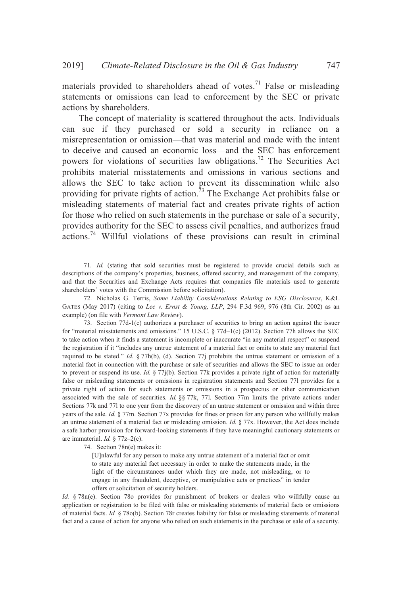materials provided to shareholders ahead of votes.<sup>71</sup> False or misleading statements or omissions can lead to enforcement by the SEC or private actions by shareholders.

The concept of materiality is scattered throughout the acts. Individuals can sue if they purchased or sold a security in reliance on a misrepresentation or omission—that was material and made with the intent to deceive and caused an economic loss—and the SEC has enforcement powers for violations of securities law obligations.<sup>72</sup> The Securities Act prohibits material misstatements and omissions in various sections and allows the SEC to take action to prevent its dissemination while also providing for private rights of action.<sup>73</sup> The Exchange Act prohibits false or misleading statements of material fact and creates private rights of action for those who relied on such statements in the purchase or sale of a security, provides authority for the SEC to assess civil penalties, and authorizes fraud actions.<sup>74</sup> Willful violations of these provisions can result in criminal

73. Section 77d-1(c) authorizes a purchaser of securities to bring an action against the issuer for "material misstatements and omissions." 15 U.S.C. § 77d-1(c) (2012). Section 77h allows the SEC to take action when it finds a statement is incomplete or inaccurate "in any material respect" or suspend the registration if it "includes any untrue statement of a material fact or omits to state any material fact required to be stated." *Id.* § 77h(b), (d). Section 77j prohibits the untrue statement or omission of a material fact in connection with the purchase or sale of securities and allows the SEC to issue an order to prevent or suspend its use. *Id.* § 77j(b). Section 77k provides a private right of action for materially false or misleading statements or omissions in registration statements and Section 77l provides for a private right of action for such statements or omissions in a prospectus or other communication associated with the sale of securities. *Id.* §§ 77k, 77l. Section 77m limits the private actions under Sections 77k and 77l to one year from the discovery of an untrue statement or omission and within three years of the sale. *Id.* § 77m. Section 77x provides for fines or prison for any person who willfully makes an untrue statement of a material fact or misleading omission. *Id.* § 77x. However, the Act does include a safe harbor provision for forward-looking statements if they have meaningful cautionary statements or are immaterial. *Id.* § 77z–2(c).

74. Section 78n(e) makes it:

[U]nlawful for any person to make any untrue statement of a material fact or omit to state any material fact necessary in order to make the statements made, in the light of the circumstances under which they are made, not misleading, or to engage in any fraudulent, deceptive, or manipulative acts or practices" in tender offers or solicitation of security holders.

*Id.* § 78n(e). Section 78o provides for punishment of brokers or dealers who willfully cause an application or registration to be filed with false or misleading statements of material facts or omissions of material facts. *Id.* § 78o(b). Section 78r creates liability for false or misleading statements of material fact and a cause of action for anyone who relied on such statements in the purchase or sale of a security.

<sup>71</sup>*. Id.* (stating that sold securities must be registered to provide crucial details such as descriptions of the company's properties, business, offered security, and management of the company, and that the Securities and Exchange Acts requires that companies file materials used to generate shareholders' votes with the Commission before solicitation).

<sup>72.</sup> Nicholas G. Terris, *Some Liability Considerations Relating to ESG Disclosures*, K&L GATES (May 2017) (citing to *Lee v. Ernst & Young, LLP*, 294 F.3d 969, 976 (8th Cir. 2002) as an example) (on file with *Vermont Law Review*).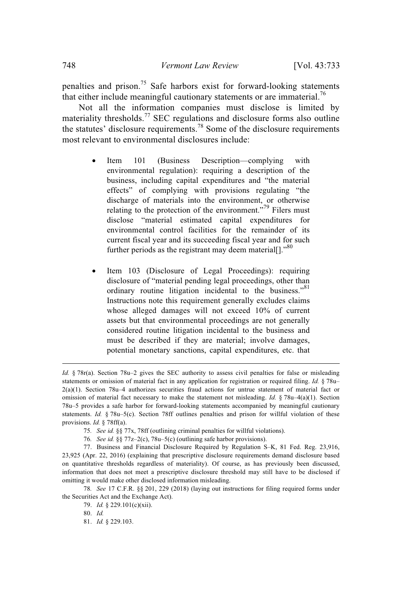penalties and prison.<sup>75</sup> Safe harbors exist for forward-looking statements that either include meaningful cautionary statements or are immaterial.<sup>76</sup>

Not all the information companies must disclose is limited by materiality thresholds.<sup>77</sup> SEC regulations and disclosure forms also outline the statutes' disclosure requirements.<sup>78</sup> Some of the disclosure requirements most relevant to environmental disclosures include:

- Item 101 (Business Description—complying with environmental regulation): requiring a description of the business, including capital expenditures and "the material effects" of complying with provisions regulating "the discharge of materials into the environment, or otherwise relating to the protection of the environment."<sup>79</sup> Filers must disclose "material estimated capital expenditures for environmental control facilities for the remainder of its current fiscal year and its succeeding fiscal year and for such further periods as the registrant may deem material[]."<sup>80</sup>
- Item 103 (Disclosure of Legal Proceedings): requiring disclosure of "material pending legal proceedings, other than ordinary routine litigation incidental to the business."<sup>81</sup> Instructions note this requirement generally excludes claims whose alleged damages will not exceed 10% of current assets but that environmental proceedings are not generally considered routine litigation incidental to the business and must be described if they are material; involve damages, potential monetary sanctions, capital expenditures, etc. that

*Id.* § 78r(a). Section 78u–2 gives the SEC authority to assess civil penalties for false or misleading statements or omission of material fact in any application for registration or required filing. *Id.* § 78u– 2(a)(1). Section 78u–4 authorizes securities fraud actions for untrue statement of material fact or omission of material fact necessary to make the statement not misleading. *Id.* § 78u–4(a)(1). Section 78u–5 provides a safe harbor for forward-looking statements accompanied by meaningful cautionary statements. *Id.* § 78u–5(c). Section 78ff outlines penalties and prison for willful violation of these provisions. *Id.* § 78ff(a).

<sup>75</sup>*. See id.* §§ 77x, 78ff (outlining criminal penalties for willful violations).

<sup>76</sup>*. See id.* §§ 77z–2(c), 78u–5(c) (outlining safe harbor provisions).

<sup>77.</sup> Business and Financial Disclosure Required by Regulation S–K, 81 Fed. Reg. 23,916, 23,925 (Apr. 22, 2016) (explaining that prescriptive disclosure requirements demand disclosure based on quantitative thresholds regardless of materiality). Of course, as has previously been discussed, information that does not meet a prescriptive disclosure threshold may still have to be disclosed if omitting it would make other disclosed information misleading.

<sup>78</sup>*. See* 17 C.F.R. §§ 201, 229 (2018) (laying out instructions for filing required forms under the Securities Act and the Exchange Act).

<sup>79.</sup> *Id.* § 229.101(c)(xii).

<sup>80.</sup> *Id.*

<sup>81.</sup> *Id.* § 229.103.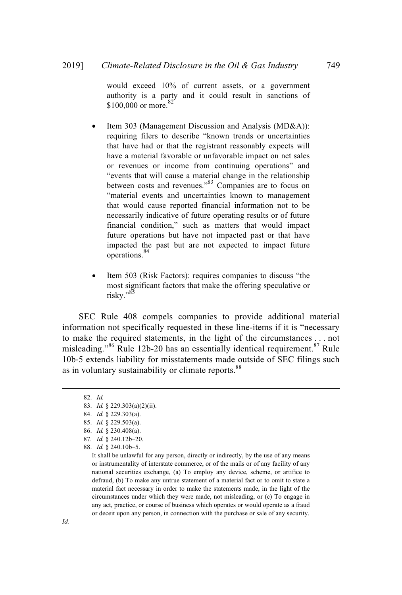would exceed 10% of current assets, or a government authority is a party and it could result in sanctions of \$100,000 or more.<sup>82</sup>

- Item 303 (Management Discussion and Analysis (MD&A)): requiring filers to describe "known trends or uncertainties that have had or that the registrant reasonably expects will have a material favorable or unfavorable impact on net sales or revenues or income from continuing operations" and "events that will cause a material change in the relationship between costs and revenues."<sup>83</sup> Companies are to focus on "material events and uncertainties known to management that would cause reported financial information not to be necessarily indicative of future operating results or of future financial condition," such as matters that would impact future operations but have not impacted past or that have impacted the past but are not expected to impact future operations. 84
- Item 503 (Risk Factors): requires companies to discuss "the most significant factors that make the offering speculative or risky."<sup>85</sup>

SEC Rule 408 compels companies to provide additional material information not specifically requested in these line-items if it is "necessary to make the required statements, in the light of the circumstances . . . not misleading."<sup>86</sup> Rule 12b-20 has an essentially identical requirement. $87$  Rule 10b-5 extends liability for misstatements made outside of SEC filings such as in voluntary sustainability or climate reports.<sup>88</sup>

<sup>82.</sup> *Id.*

<sup>83.</sup> *Id.* § 229.303(a)(2)(ii).

<sup>84.</sup> *Id.* § 229.303(a).

<sup>85.</sup> *Id.* § 229.503(a).

<sup>86.</sup> *Id.* § 230.408(a).

<sup>87</sup>*. Id.* § 240.12b–20.

<sup>88.</sup> *Id.* § 240.10b–5.

It shall be unlawful for any person, directly or indirectly, by the use of any means or instrumentality of interstate commerce, or of the mails or of any facility of any national securities exchange, (a) To employ any device, scheme, or artifice to defraud, (b) To make any untrue statement of a material fact or to omit to state a material fact necessary in order to make the statements made, in the light of the circumstances under which they were made, not misleading, or (c) To engage in any act, practice, or course of business which operates or would operate as a fraud or deceit upon any person, in connection with the purchase or sale of any security.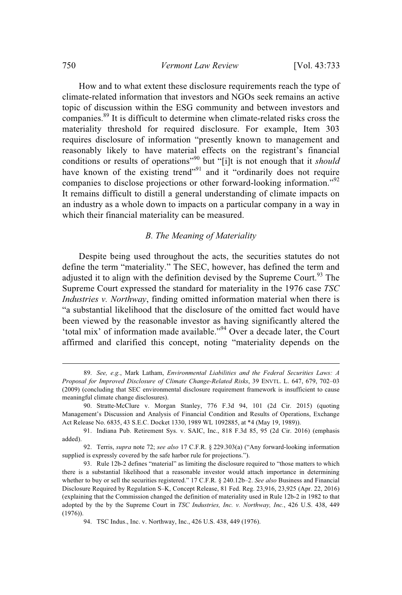How and to what extent these disclosure requirements reach the type of climate-related information that investors and NGOs seek remains an active topic of discussion within the ESG community and between investors and companies.<sup>89</sup> It is difficult to determine when climate-related risks cross the materiality threshold for required disclosure. For example, Item 303 requires disclosure of information "presently known to management and reasonably likely to have material effects on the registrant's financial conditions or results of operations"<sup>90</sup> but "[i]t is not enough that it *should* have known of the existing trend<sup>"91</sup> and it "ordinarily does not require companies to disclose projections or other forward-looking information."<sup>92</sup> It remains difficult to distill a general understanding of climate impacts on an industry as a whole down to impacts on a particular company in a way in which their financial materiality can be measured.

### *B. The Meaning of Materiality*

Despite being used throughout the acts, the securities statutes do not define the term "materiality." The SEC, however, has defined the term and adjusted it to align with the definition devised by the Supreme Court.<sup>93</sup> The Supreme Court expressed the standard for materiality in the 1976 case *TSC Industries v. Northway*, finding omitted information material when there is "a substantial likelihood that the disclosure of the omitted fact would have been viewed by the reasonable investor as having significantly altered the 'total mix' of information made available."<sup>94</sup> Over a decade later, the Court affirmed and clarified this concept, noting "materiality depends on the

<sup>89.</sup> *See, e.g.*, Mark Latham, *Environmental Liabilities and the Federal Securities Laws: A Proposal for Improved Disclosure of Climate Change-Related Risks*, 39 ENVTL. L. 647, 679, 702–03 (2009) (concluding that SEC environmental disclosure requirement framework is insufficient to cause meaningful climate change disclosures).

<sup>90.</sup> Stratte-McClure v. Morgan Stanley, 776 F.3d 94, 101 (2d Cir. 2015) (quoting Management's Discussion and Analysis of Financial Condition and Results of Operations, Exchange Act Release No. 6835, 43 S.E.C. Docket 1330, 1989 WL 1092885, at \*4 (May 19, 1989)).

<sup>91.</sup> Indiana Pub. Retirement Sys. v. SAIC, Inc., 818 F.3d 85, 95 (2d Cir. 2016) (emphasis added)

<sup>92.</sup> Terris, *supra* note 72; *see also* 17 C.F.R. § 229.303(a) ("Any forward-looking information supplied is expressly covered by the safe harbor rule for projections.").

<sup>93.</sup> Rule 12b-2 defines "material" as limiting the disclosure required to "those matters to which there is a substantial likelihood that a reasonable investor would attach importance in determining whether to buy or sell the securities registered." 17 C.F.R. § 240.12b–2. *See also* Business and Financial Disclosure Required by Regulation S–K, Concept Release, 81 Fed. Reg. 23,916, 23,925 (Apr. 22, 2016) (explaining that the Commission changed the definition of materiality used in Rule 12b-2 in 1982 to that adopted by the by the Supreme Court in *TSC Industries, Inc. v. Northway, Inc.*, 426 U.S. 438, 449 (1976)).

<sup>94.</sup> TSC Indus., Inc. v. Northway, Inc., 426 U.S. 438, 449 (1976).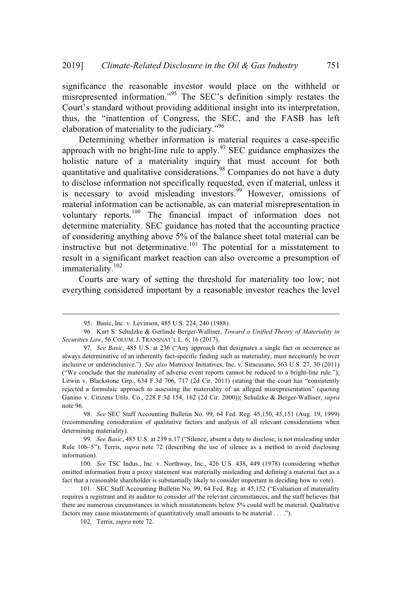significance the reasonable investor would place on the withheld or misrepresented information."<sup>95</sup> The SEC's definition simply restates the Court's standard without providing additional insight into its interpretation, thus, the "inattention of Congress, the SEC, and the FASB has left elaboration of materiality to the judiciary."<sup>96</sup>

Determining whether information is material requires a case-specific approach with no bright-line rule to apply. $\frac{97}{2}$  SEC guidance emphasizes the holistic nature of a materiality inquiry that must account for both quantitative and qualitative considerations.<sup>98</sup> Companies do not have a duty to disclose information not specifically requested, even if material, unless it is necessary to avoid misleading investors.<sup>99</sup> However, omissions of material information can be actionable, as can material misrepresentation in voluntary reports.<sup>100</sup> The financial impact of information does not determine materiality. SEC guidance has noted that the accounting practice of considering anything above 5% of the balance sheet total material can be instructive but not determinative.<sup>101</sup> The potential for a misstatement to result in a significant market reaction can also overcome a presumption of immateriality.<sup>102</sup>

Courts are wary of setting the threshold for materiality too low; not everything considered important by a reasonable investor reaches the level

<sup>95.</sup> Basic, Inc. v. Levinson, 485 U.S. 224, 240 (1988).

<sup>96.</sup> Kurt S. Schulzke & Gerlinde Berger-Walliser, *Toward a Unified Theory of Materiality in Securities Law*, 56 COLUM. J. TRANSNAT'L L. 6, 16 (2017).

<sup>97</sup>*. See Basic*, 485 U.S. at 236 ("Any approach that designates a single fact or occurrence as always determinative of an inherently fact-specific finding such as materiality, must necessarily be over inclusive or underinclusive."). *See also* Matrixxx Initiatives, Inc. v. Siracusano, 563 U.S. 27, 30 (2011) ("We conclude that the materiality of adverse event reports cannot be reduced to a bright-line rule."); Litwin v. Blackstone Grp., 634 F.3d 706, 717 (2d Cir. 2011) (stating that the court has "consistently rejected a formulaic approach to assessing the materiality of an alleged misrepresentation" (quoting Ganino v. Citizens Utils. Co., 228 F.3d 154, 162 (2d Cir. 2000)); Schulzke & Berger-Walliser, *supra* note 96.

<sup>98.</sup> *See* SEC Staff Accounting Bulletin No. 99, 64 Fed. Reg. 45,150, 45,151 (Aug. 19, 1999) (recommending consideration of qualitative factors and analysis of all relevant considerations when determining materiality).

<sup>99</sup>*. See Basic*, 485 U.S. at 239 n.17 ("Silence, absent a duty to disclose, is not misleading under Rule 10b–5"); Terris, *supra* note 72 (describing the use of silence as a method to avoid disclosing information).

<sup>100.</sup> *See* TSC Indus., Inc. v. Northway, Inc., 426 U.S. 438, 449 (1978) (considering whether omitted information from a proxy statement was materially misleading and defining a material fact as a fact that a reasonable shareholder is substantially likely to consider important in deciding how to vote).

<sup>101.</sup> SEC Staff Accounting Bulletin No. 99, 64 Fed. Reg. at 45,152 ("Evaluation of materiality requires a registrant and its auditor to consider *all* the relevant circumstances, and the staff believes that there are numerous circumstances in which misstatements below 5% could well be material. Qualitative factors may cause misstatements of quantitatively small amounts to be material . . . .").

<sup>102</sup>*.* Terris, *supra* note 72.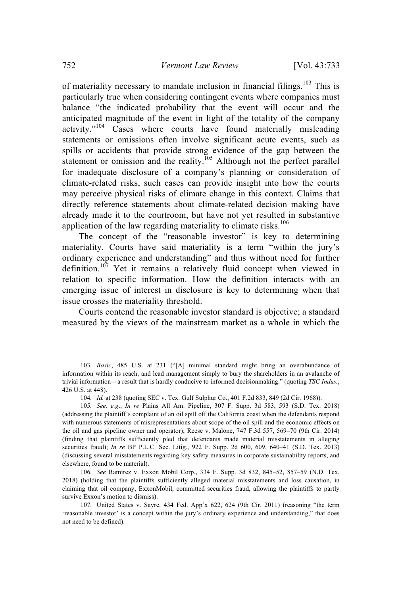of materiality necessary to mandate inclusion in financial filings.<sup>103</sup> This is particularly true when considering contingent events where companies must balance "the indicated probability that the event will occur and the anticipated magnitude of the event in light of the totality of the company activity."<sup>104</sup> Cases where courts have found materially misleading statements or omissions often involve significant acute events, such as spills or accidents that provide strong evidence of the gap between the statement or omission and the reality.<sup>105</sup> Although not the perfect parallel for inadequate disclosure of a company's planning or consideration of climate-related risks, such cases can provide insight into how the courts may perceive physical risks of climate change in this context. Claims that directly reference statements about climate-related decision making have already made it to the courtroom, but have not yet resulted in substantive application of the law regarding materiality to climate risks. $106$ 

The concept of the "reasonable investor" is key to determining materiality. Courts have said materiality is a term "within the jury's ordinary experience and understanding" and thus without need for further definition.<sup>107</sup> Yet it remains a relatively fluid concept when viewed in relation to specific information. How the definition interacts with an emerging issue of interest in disclosure is key to determining when that issue crosses the materiality threshold.

Courts contend the reasonable investor standard is objective; a standard measured by the views of the mainstream market as a whole in which the

<sup>103</sup>*. Basic*, 485 U.S. at 231 ("[A] minimal standard might bring an overabundance of information within its reach, and lead management simply to bury the shareholders in an avalanche of trivial information—a result that is hardly conducive to informed decisionmaking." (quoting *TSC Indus.*, 426 U.S. at 448).

<sup>104</sup>*. Id.* at 238 (quoting SEC v. Tex. Gulf Sulphur Co., 401 F.2d 833, 849 (2d Cir. 1968)).

<sup>105</sup>*. See, e.g*., *In re* Plains All Am. Pipeline, 307 F. Supp. 3d 583, 593 (S.D. Tex. 2018) (addressing the plaintiff's complaint of an oil spill off the California coast when the defendants respond with numerous statements of misrepresentations about scope of the oil spill and the economic effects on the oil and gas pipeline owner and operator); Reese v. Malone, 747 F.3d 557, 569–70 (9th Cir. 2014) (finding that plaintiffs sufficiently pled that defendants made material misstatements in alleging securities fraud); *In re* BP P.L.C. Sec. Litig., 922 F. Supp. 2d 600, 609, 640–41 (S.D. Tex. 2013) (discussing several misstatements regarding key safety measures in corporate sustainability reports, and elsewhere, found to be material).

<sup>106</sup>*. See* Ramirez v. Exxon Mobil Corp., 334 F. Supp. 3d 832, 845–52, 857–59 (N.D. Tex. 2018) (holding that the plaintiffs sufficiently alleged material misstatements and loss causation, in claiming that oil company, ExxonMobil, committed securities fraud, allowing the plaintiffs to partly survive Exxon's motion to dismiss).

<sup>107</sup>*.* United States v. Sayre, 434 Fed. App'x 622, 624 (9th Cir. 2011) (reasoning "the term 'reasonable investor' is a concept within the jury's ordinary experience and understanding," that does not need to be defined).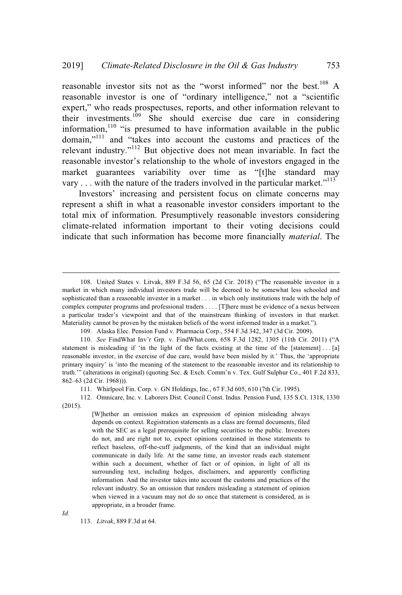reasonable investor sits not as the "worst informed" nor the best.<sup>108</sup> A reasonable investor is one of "ordinary intelligence," not a "scientific expert," who reads prospectuses, reports, and other information relevant to their investments. <sup>109</sup> She should exercise due care in considering information,<sup>110</sup> "is presumed to have information available in the public domain,"<sup>111</sup> and "takes into account the customs and practices of the relevant industry."<sup>112</sup> But objective does not mean invariable. In fact the reasonable investor's relationship to the whole of investors engaged in the market guarantees variability over time as "[t]he standard may vary . . . with the nature of the traders involved in the particular market."<sup>113</sup>

Investors' increasing and persistent focus on climate concerns may represent a shift in what a reasonable investor considers important to the total mix of information. Presumptively reasonable investors considering climate-related information important to their voting decisions could indicate that such information has become more financially *material*. The

111. Whirlpool Fin. Corp. v. GN Holdings, Inc., 67 F.3d 605, 610 (7th Cir. 1995).

112. Omnicare, Inc. v. Laborers Dist. Council Const. Indus. Pension Fund, 135 S.Ct. 1318, 1330 (2015).

> [W]hether an omission makes an expression of opinion misleading always depends on context. Registration statements as a class are formal documents, filed with the SEC as a legal prerequisite for selling securities to the public. Investors do not, and are right not to, expect opinions contained in those statements to reflect baseless, off-the-cuff judgments, of the kind that an individual might communicate in daily life. At the same time, an investor reads each statement within such a document, whether of fact or of opinion, in light of all its surrounding text, including hedges, disclaimers, and apparently conflicting information. And the investor takes into account the customs and practices of the relevant industry. So an omission that renders misleading a statement of opinion when viewed in a vacuum may not do so once that statement is considered, as is appropriate, in a broader frame.

*Id.*

113. *Litvak*, 889 F.3d at 64.

<sup>108.</sup> United States v. Litvak, 889 F.3d 56, 65 (2d Cir. 2018) ("The reasonable investor in a market in which many individual investors trade will be deemed to be somewhat less schooled and sophisticated than a reasonable investor in a market . . . in which only institutions trade with the help of complex computer programs and professional traders . . . . [T]here must be evidence of a nexus between a particular trader's viewpoint and that of the mainstream thinking of investors in that market. Materiality cannot be proven by the mistaken beliefs of the worst informed trader in a market.").

<sup>109.</sup> Alaska Elec. Pension Fund v. Pharmacia Corp., 554 F.3d 342, 347 (3d Cir. 2009).

<sup>110.</sup> *See* FindWhat Inv'r Grp. v. FindWhat.com, 658 F.3d 1282, 1305 (11th Cir. 2011) ("A statement is misleading if 'in the light of the facts existing at the time of the [statement] . . . [a] reasonable investor, in the exercise of due care, would have been misled by it.' Thus, the 'appropriate primary inquiry' is 'into the meaning of the statement to the reasonable investor and its relationship to truth.'" (alterations in original) (quoting Sec. & Exch. Comm'n v. Tex. Gulf Sulphur Co., 401 F.2d 833, 862–63 (2d Cir. 1968))).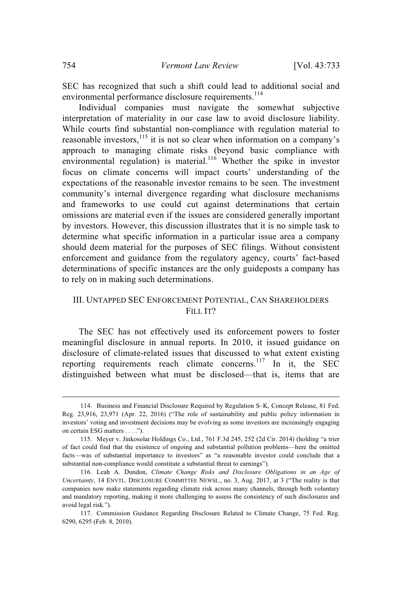SEC has recognized that such a shift could lead to additional social and environmental performance disclosure requirements.<sup>114</sup>

Individual companies must navigate the somewhat subjective interpretation of materiality in our case law to avoid disclosure liability. While courts find substantial non-compliance with regulation material to reasonable investors, $115$  it is not so clear when information on a company's approach to managing climate risks (beyond basic compliance with environmental regulation) is material.<sup>116</sup> Whether the spike in investor focus on climate concerns will impact courts' understanding of the expectations of the reasonable investor remains to be seen. The investment community's internal divergence regarding what disclosure mechanisms and frameworks to use could cut against determinations that certain omissions are material even if the issues are considered generally important by investors. However, this discussion illustrates that it is no simple task to determine what specific information in a particular issue area a company should deem material for the purposes of SEC filings. Without consistent enforcement and guidance from the regulatory agency, courts' fact-based determinations of specific instances are the only guideposts a company has to rely on in making such determinations.

### III. UNTAPPED SEC ENFORCEMENT POTENTIAL, CAN SHAREHOLDERS FILL IT?

The SEC has not effectively used its enforcement powers to foster meaningful disclosure in annual reports. In 2010, it issued guidance on disclosure of climate-related issues that discussed to what extent existing reporting requirements reach climate concerns.<sup>117</sup> In it, the SEC distinguished between what must be disclosed—that is, items that are

<sup>114.</sup> Business and Financial Disclosure Required by Regulation S–K, Concept Release, 81 Fed. Reg. 23,916, 23,971 (Apr. 22, 2016) ("The role of sustainability and public policy information in investors' voting and investment decisions may be evolving as some investors are increasingly engaging on certain ESG matters . . . .").

<sup>115.</sup> Meyer v. Jinkosolar Holdings Co., Ltd., 761 F.3d 245, 252 (2d Cir. 2014) (holding "a trier of fact could find that the existence of ongoing and substantial pollution problems—here the omitted facts—was of substantial importance to investors" as "a reasonable investor could conclude that a substantial non-compliance would constitute a substantial threat to earnings").

<sup>116.</sup> Leah A. Dundon, *Climate Change Risks and Disclosure Obligations in an Age of Uncertainty*, 14 ENVTL. DISCLOSURE COMMITTEE NEWSL., no. 3, Aug. 2017, at 3 ("The reality is that companies now make statements regarding climate risk across many channels, through both voluntary and mandatory reporting, making it more challenging to assess the consistency of such disclosures and avoid legal risk.").

<sup>117.</sup> Commission Guidance Regarding Disclosure Related to Climate Change, 75 Fed. Reg. 6290, 6295 (Feb. 8, 2010).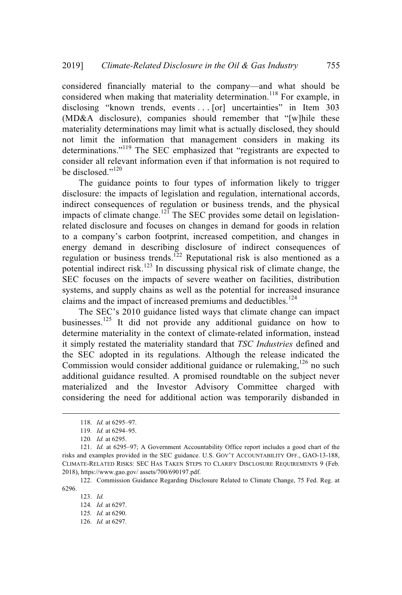considered financially material to the company—and what should be considered when making that materiality determination.<sup>118</sup> For example, in disclosing "known trends, events . . . [or] uncertainties" in Item 303 (MD&A disclosure), companies should remember that "[w]hile these materiality determinations may limit what is actually disclosed, they should not limit the information that management considers in making its determinations."<sup>119</sup> The SEC emphasized that "registrants are expected to consider all relevant information even if that information is not required to be disclosed."<sup>120</sup>

The guidance points to four types of information likely to trigger disclosure: the impacts of legislation and regulation, international accords, indirect consequences of regulation or business trends, and the physical impacts of climate change.<sup>121</sup> The SEC provides some detail on legislationrelated disclosure and focuses on changes in demand for goods in relation to a company's carbon footprint, increased competition, and changes in energy demand in describing disclosure of indirect consequences of regulation or business trends.<sup>122</sup> Reputational risk is also mentioned as a potential indirect risk.<sup>123</sup> In discussing physical risk of climate change, the SEC focuses on the impacts of severe weather on facilities, distribution systems, and supply chains as well as the potential for increased insurance claims and the impact of increased premiums and deductibles. $124$ 

The SEC's 2010 guidance listed ways that climate change can impact businesses.<sup>125</sup> It did not provide any additional guidance on how to determine materiality in the context of climate-related information, instead it simply restated the materiality standard that *TSC Industries* defined and the SEC adopted in its regulations. Although the release indicated the Commission would consider additional guidance or rulemaking,<sup>126</sup> no such additional guidance resulted. A promised roundtable on the subject never materialized and the Investor Advisory Committee charged with considering the need for additional action was temporarily disbanded in

<sup>118.</sup> *Id.* at 6295–97.

<sup>119</sup>*. Id.* at 6294–95.

<sup>120</sup>*. Id.* at 6295.

<sup>121.</sup> *Id.* at 6295–97; A Government Accountability Office report includes a good chart of the risks and examples provided in the SEC guidance. U.S. GOV'T ACCOUNTABILITY OFF., GAO-13-188, CLIMATE-RELATED RISKS: SEC HAS TAKEN STEPS TO CLARIFY DISCLOSURE REQUIREMENTS 9 (Feb. 2018), https://www.gao.gov/ assets/700/690197.pdf.

<sup>122.</sup> Commission Guidance Regarding Disclosure Related to Climate Change, 75 Fed. Reg. at 6296.

<sup>123.</sup> *Id.*

<sup>124</sup>*. Id.* at 6297.

<sup>125</sup>*. Id.* at 6290.

<sup>126</sup>*. Id.* at 6297.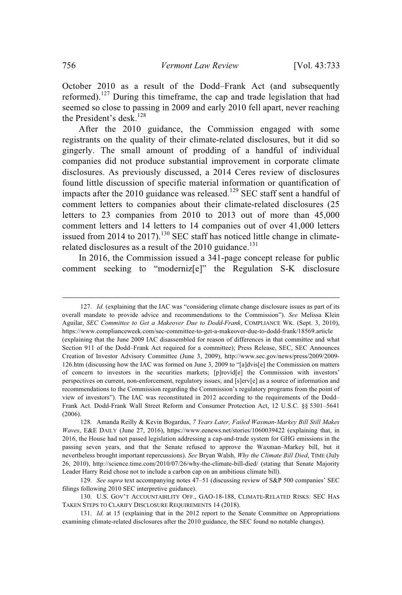October 2010 as a result of the Dodd–Frank Act (and subsequently reformed).<sup>127</sup> During this timeframe, the cap and trade legislation that had seemed so close to passing in 2009 and early 2010 fell apart, never reaching the President's desk. $^{128}$ 

After the 2010 guidance, the Commission engaged with some registrants on the quality of their climate-related disclosures, but it did so gingerly. The small amount of prodding of a handful of individual companies did not produce substantial improvement in corporate climate disclosures. As previously discussed, a 2014 Ceres review of disclosures found little discussion of specific material information or quantification of impacts after the 2010 guidance was released.<sup>129</sup> SEC staff sent a handful of comment letters to companies about their climate-related disclosures (25 letters to 23 companies from 2010 to 2013 out of more than 45,000 comment letters and 14 letters to 14 companies out of over 41,000 letters issued from 2014 to 2017).<sup>130</sup> SEC staff has noticed little change in climaterelated disclosures as a result of the 2010 guidance.<sup>131</sup>

In 2016, the Commission issued a 341-page concept release for public comment seeking to "moderniz[e]" the Regulation S-K disclosure

<sup>127.</sup> *Id.* (explaining that the IAC was "considering climate change disclosure issues as part of its overall mandate to provide advice and recommendations to the Commission"). *See* Melissa Klein Aguilar, *SEC Committee to Get a Makeover Due to Dodd-Frank*, COMPLIANCE WK. (Sept. 3, 2010), https://www.complianceweek.com/sec-committee-to-get-a-makeover-due-to-dodd-frank/18569.article (explaining that the June 2009 IAC disassembled for reason of differences in that committee and what Section 911 of the Dodd–Frank Act required for a committee); Press Release, SEC, SEC Announces Creation of Investor Advisory Committee (June 3, 2009), http://www.sec.gov/news/press/2009/2009- 126.htm (discussing how the IAC was formed on June 3, 2009 to "[a]dvis[e] the Commission on matters of concern to investors in the securities markets; [p]rovid[e] the Commission with investors' perspectives on current, non-enforcement, regulatory issues; and [s]erv[e] as a source of information and recommendations to the Commission regarding the Commission's regulatory programs from the point of view of investors"). The IAC was reconstituted in 2012 according to the requirements of the Dodd– Frank Act. Dodd-Frank Wall Street Reform and Consumer Protection Act, 12 U.S.C. §§ 5301–5641 (2006).

<sup>128.</sup> Amanda Reilly & Kevin Bogardus, *7 Years Later, Failed Waxman-Markey Bill Still Makes Waves*, E&E DAILY (June 27, 2016), https://www.eenews.net/stories/1060039422 (explaining that, in 2016, the House had not passed legislation addressing a cap-and-trade system for GHG emissions in the passing seven years, and that the Senate refused to approve the Waxman–Markey bill, but it nevertheless brought important repercussions). *See* Bryan Walsh, *Why the Climate Bill Died*, TIME (July 26, 2010), http://science.time.com/2010/07/26/why-the-climate-bill-died/ (stating that Senate Majority Leader Harry Reid chose not to include a carbon cap on an ambitious climate bill).

<sup>129.</sup> *See supra* text accompanying notes 47–51 (discussing review of S&P 500 companies' SEC filings following 2010 SEC interpretive guidance).

<sup>130.</sup> U.S. GOV'T ACCOUNTABILITY OFF., GAO-18-188, CLIMATE-RELATED RISKS: SEC HAS TAKEN STEPS TO CLARIFY DISCLOSURE REQUIREMENTS 14 (2018).

<sup>131.</sup> *Id.* at 15 (explaining that in the 2012 report to the Senate Committee on Appropriations examining climate-related disclosures after the 2010 guidance, the SEC found no notable changes).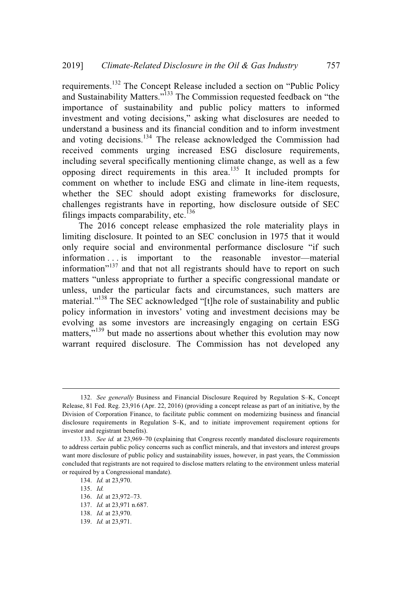requirements.<sup>132</sup> The Concept Release included a section on "Public Policy and Sustainability Matters."<sup>133</sup> The Commission requested feedback on "the importance of sustainability and public policy matters to informed investment and voting decisions," asking what disclosures are needed to understand a business and its financial condition and to inform investment and voting decisions.<sup>134</sup> The release acknowledged the Commission had received comments urging increased ESG disclosure requirements, including several specifically mentioning climate change, as well as a few opposing direct requirements in this area.<sup>135</sup> It included prompts for comment on whether to include ESG and climate in line-item requests, whether the SEC should adopt existing frameworks for disclosure, challenges registrants have in reporting, how disclosure outside of SEC filings impacts comparability, etc.<sup>136</sup>

The 2016 concept release emphasized the role materiality plays in limiting disclosure. It pointed to an SEC conclusion in 1975 that it would only require social and environmental performance disclosure "if such information . . . is important to the reasonable investor—material information"<sup>137</sup> and that not all registrants should have to report on such matters "unless appropriate to further a specific congressional mandate or unless, under the particular facts and circumstances, such matters are material."<sup>138</sup> The SEC acknowledged "[t]he role of sustainability and public policy information in investors' voting and investment decisions may be evolving as some investors are increasingly engaging on certain ESG matters,"<sup>139</sup> but made no assertions about whether this evolution may now warrant required disclosure. The Commission has not developed any

<sup>132.</sup> *See generally* Business and Financial Disclosure Required by Regulation S–K, Concept Release, 81 Fed. Reg. 23,916 (Apr. 22, 2016) (providing a concept release as part of an initiative, by the Division of Corporation Finance, to facilitate public comment on modernizing business and financial disclosure requirements in Regulation S–K, and to initiate improvement requirement options for investor and registrant benefits).

<sup>133.</sup> *See id.* at 23,969–70 (explaining that Congress recently mandated disclosure requirements to address certain public policy concerns such as conflict minerals, and that investors and interest groups want more disclosure of public policy and sustainability issues, however, in past years, the Commission concluded that registrants are not required to disclose matters relating to the environment unless material or required by a Congressional mandate).

<sup>134.</sup> *Id.* at 23,970.

<sup>135.</sup> *Id.*

<sup>136.</sup> *Id.* at 23,972–73.

<sup>137.</sup> *Id.* at 23,971 n.687.

<sup>138.</sup> *Id.* at 23,970.

<sup>139.</sup> *Id.* at 23,971.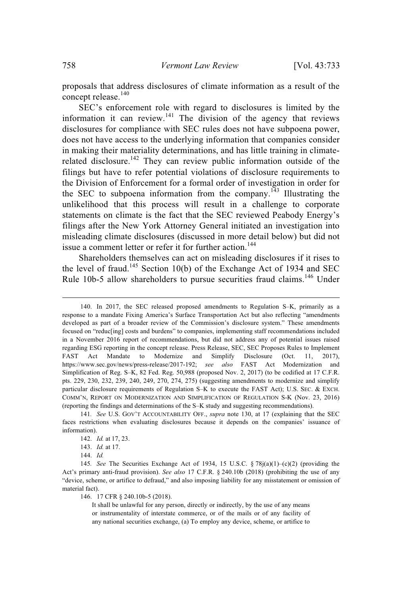proposals that address disclosures of climate information as a result of the concept release. 140

SEC's enforcement role with regard to disclosures is limited by the information it can review.<sup>141</sup> The division of the agency that reviews disclosures for compliance with SEC rules does not have subpoena power, does not have access to the underlying information that companies consider in making their materiality determinations, and has little training in climaterelated disclosure.<sup>142</sup> They can review public information outside of the filings but have to refer potential violations of disclosure requirements to the Division of Enforcement for a formal order of investigation in order for the SEC to subpoena information from the company.<sup>143</sup> Illustrating the unlikelihood that this process will result in a challenge to corporate statements on climate is the fact that the SEC reviewed Peabody Energy's filings after the New York Attorney General initiated an investigation into misleading climate disclosures (discussed in more detail below) but did not issue a comment letter or refer it for further action.<sup>144</sup>

Shareholders themselves can act on misleading disclosures if it rises to the level of fraud.<sup>145</sup> Section 10(b) of the Exchange Act of 1934 and SEC Rule 10b-5 allow shareholders to pursue securities fraud claims.<sup>146</sup> Under

146. 17 CFR § 240.10b-5 (2018).

<sup>140.</sup> In 2017, the SEC released proposed amendments to Regulation S–K, primarily as a response to a mandate Fixing America's Surface Transportation Act but also reflecting "amendments developed as part of a broader review of the Commission's disclosure system." These amendments focused on "reduc[ing] costs and burdens" to companies, implementing staff recommendations included in a November 2016 report of recommendations, but did not address any of potential issues raised regarding ESG reporting in the concept release. Press Release, SEC, SEC Proposes Rules to Implement FAST Act Mandate to Modernize and Simplify Disclosure (Oct. 11, 2017), https://www.sec.gov/news/press-release/2017-192; *see also* FAST Act Modernization and Simplification of Reg. S–K, 82 Fed. Reg. 50,988 (proposed Nov. 2, 2017) (to be codified at 17 C.F.R. pts. 229, 230, 232, 239, 240, 249, 270, 274, 275) (suggesting amendments to modernize and simplify particular disclosure requirements of Regulation S–K to execute the FAST Act); U.S. SEC. & EXCH. COMM'N, REPORT ON MODERNIZATION AND SIMPLIFICATION OF REGULATION S-K (Nov. 23, 2016) (reporting the findings and determinations of the S–K study and suggesting recommendations).

<sup>141</sup>*. See* U.S. GOV'T ACCOUNTABILITY OFF., *supra* note 130, at 17 (explaining that the SEC faces restrictions when evaluating disclosures because it depends on the companies' issuance of information).

<sup>142.</sup> *Id.* at 17, 23.

<sup>143.</sup> *Id.* at 17.

<sup>144.</sup> *Id.*

<sup>145</sup>*. See* The Securities Exchange Act of 1934, 15 U.S.C. § 78j(a)(1)–(c)(2) (providing the Act's primary anti-fraud provision). *See also* 17 C.F.R. § 240.10b (2018) (prohibiting the use of any "device, scheme, or artifice to defraud," and also imposing liability for any misstatement or omission of material fact).

It shall be unlawful for any person, directly or indirectly, by the use of any means or instrumentality of interstate commerce, or of the mails or of any facility of any national securities exchange, (a) To employ any device, scheme, or artifice to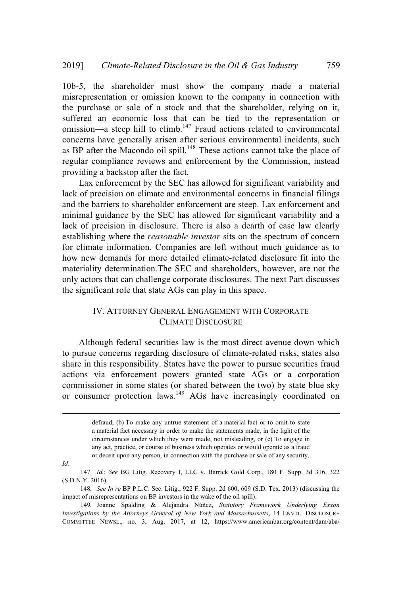10b-5, the shareholder must show the company made a material misrepresentation or omission known to the company in connection with the purchase or sale of a stock and that the shareholder, relying on it, suffered an economic loss that can be tied to the representation or omission—a steep hill to climb.<sup>147</sup> Fraud actions related to environmental concerns have generally arisen after serious environmental incidents, such as BP after the Macondo oil spill.<sup>148</sup> These actions cannot take the place of regular compliance reviews and enforcement by the Commission, instead providing a backstop after the fact.

Lax enforcement by the SEC has allowed for significant variability and lack of precision on climate and environmental concerns in financial filings and the barriers to shareholder enforcement are steep. Lax enforcement and minimal guidance by the SEC has allowed for significant variability and a lack of precision in disclosure. There is also a dearth of case law clearly establishing where the *reasonable investor* sits on the spectrum of concern for climate information. Companies are left without much guidance as to how new demands for more detailed climate-related disclosure fit into the materiality determination.The SEC and shareholders, however, are not the only actors that can challenge corporate disclosures. The next Part discusses the significant role that state AGs can play in this space.

### IV. ATTORNEY GENERAL ENGAGEMENT WITH CORPORATE CLIMATE DISCLOSURE

Although federal securities law is the most direct avenue down which to pursue concerns regarding disclosure of climate-related risks, states also share in this responsibility. States have the power to pursue securities fraud actions via enforcement powers granted state AGs or a corporation commissioner in some states (or shared between the two) by state blue sky or consumer protection laws.<sup>149</sup> AGs have increasingly coordinated on

*Id.*

147. *Id.*; *See* BG Litig. Recovery I, LLC v. Barrick Gold Corp., 180 F. Supp. 3d 316, 322 (S.D.N.Y. 2016).

148*. See In re* BP P.L.C. Sec. Litig., 922 F. Supp. 2d 600, 609 (S.D. Tex. 2013) (discussing the impact of misrepresentations on BP investors in the wake of the oil spill).

149*.* Joanne Spalding & Alejandra Núñez, *Statutory Framework Underlying Exxon Investigations by the Attorneys General of New York and Massachussetts*, 14 ENVTL. DISCLOSURE COMMITTEE NEWSL., no. 3, Aug. 2017, at 12, https://www.americanbar.org/content/dam/aba/

defraud, (b) To make any untrue statement of a material fact or to omit to state a material fact necessary in order to make the statements made, in the light of the circumstances under which they were made, not misleading, or (c) To engage in any act, practice, or course of business which operates or would operate as a fraud or deceit upon any person, in connection with the purchase or sale of any security.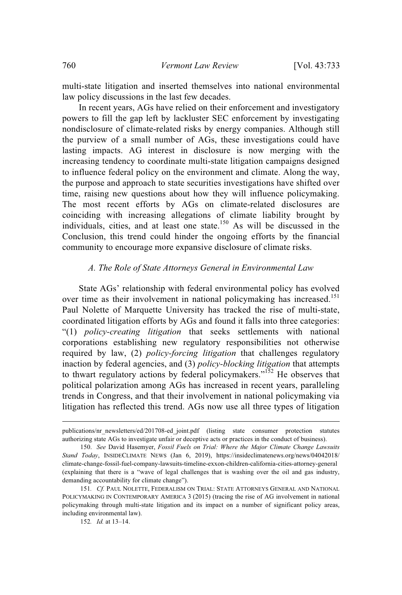multi-state litigation and inserted themselves into national environmental law policy discussions in the last few decades.

In recent years, AGs have relied on their enforcement and investigatory powers to fill the gap left by lackluster SEC enforcement by investigating nondisclosure of climate-related risks by energy companies. Although still the purview of a small number of AGs, these investigations could have lasting impacts. AG interest in disclosure is now merging with the increasing tendency to coordinate multi-state litigation campaigns designed to influence federal policy on the environment and climate. Along the way, the purpose and approach to state securities investigations have shifted over time, raising new questions about how they will influence policymaking. The most recent efforts by AGs on climate-related disclosures are coinciding with increasing allegations of climate liability brought by individuals, cities, and at least one state.<sup>150</sup> As will be discussed in the Conclusion, this trend could hinder the ongoing efforts by the financial community to encourage more expansive disclosure of climate risks.

### *A. The Role of State Attorneys General in Environmental Law*

State AGs' relationship with federal environmental policy has evolved over time as their involvement in national policymaking has increased.<sup>151</sup> Paul Nolette of Marquette University has tracked the rise of multi-state, coordinated litigation efforts by AGs and found it falls into three categories: "(1) *policy-creating litigation* that seeks settlements with national corporations establishing new regulatory responsibilities not otherwise required by law, (2) *policy-forcing litigation* that challenges regulatory inaction by federal agencies, and (3) *policy-blocking litigation* that attempts to thwart regulatory actions by federal policymakers."<sup>152</sup> He observes that political polarization among AGs has increased in recent years, paralleling trends in Congress, and that their involvement in national policymaking via litigation has reflected this trend. AGs now use all three types of litigation

152*. Id.* at 13–14.

publications/nr\_newsletters/ed/201708-ed\_joint.pdf (listing state consumer protection statutes authorizing state AGs to investigate unfair or deceptive acts or practices in the conduct of business).

<sup>150.</sup> *See* David Hasemyer, *Fossil Fuels on Trial: Where the Major Climate Change Lawsuits Stand Today*, INSIDECLIMATE NEWS (Jan 6, 2019), https://insideclimatenews.org/news/04042018/ climate-change-fossil-fuel-company-lawsuits-timeline-exxon-children-california-cities-attorney-general (explaining that there is a "wave of legal challenges that is washing over the oil and gas industry, demanding accountability for climate change").

<sup>151</sup>*. Cf.* PAUL NOLETTE, FEDERALISM ON TRIAL: STATE ATTORNEYS GENERAL AND NATIONAL POLICYMAKING IN CONTEMPORARY AMERICA 3 (2015) (tracing the rise of AG involvement in national policymaking through multi-state litigation and its impact on a number of significant policy areas, including environmental law).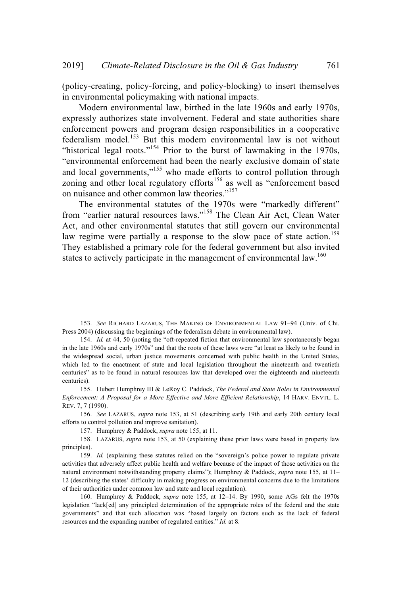(policy-creating, policy-forcing, and policy-blocking) to insert themselves in environmental policymaking with national impacts.

Modern environmental law, birthed in the late 1960s and early 1970s, expressly authorizes state involvement. Federal and state authorities share enforcement powers and program design responsibilities in a cooperative federalism model.<sup>153</sup> But this modern environmental law is not without "historical legal roots."<sup>154</sup> Prior to the burst of lawmaking in the 1970s, "environmental enforcement had been the nearly exclusive domain of state and local governments,"<sup>155</sup> who made efforts to control pollution through zoning and other local regulatory efforts<sup>156</sup> as well as "enforcement based on nuisance and other common law theories."<sup>157</sup>

The environmental statutes of the 1970s were "markedly different" from "earlier natural resources laws."<sup>158</sup> The Clean Air Act, Clean Water Act, and other environmental statutes that still govern our environmental law regime were partially a response to the slow pace of state action.<sup>159</sup> They established a primary role for the federal government but also invited states to actively participate in the management of environmental law.<sup>160</sup>

<sup>153.</sup> *See* RICHARD LAZARUS, THE MAKING OF ENVIRONMENTAL LAW 91–94 (Univ. of Chi. Press 2004) (discussing the beginnings of the federalism debate in environmental law).

<sup>154.</sup> *Id.* at 44, 50 (noting the "oft-repeated fiction that environmental law spontaneously began in the late 1960s and early 1970s" and that the roots of these laws were "at least as likely to be found in the widespread social, urban justice movements concerned with public health in the United States, which led to the enactment of state and local legislation throughout the nineteenth and twentieth centuries" as to be found in natural resources law that developed over the eighteenth and nineteenth centuries).

<sup>155.</sup> Hubert Humphrey III & LeRoy C. Paddock, *The Federal and State Roles in Environmental Enforcement: A Proposal for a More Effective and More Efficient Relationship*, 14 HARV. ENVTL. L. REV. 7, 7 (1990).

<sup>156.</sup> *See* LAZARUS, *supra* note 153, at 51 (describing early 19th and early 20th century local efforts to control pollution and improve sanitation).

<sup>157.</sup> Humphrey & Paddock, *supra* note 155, at 11.

<sup>158.</sup> LAZARUS, *supra* note 153, at 50 (explaining these prior laws were based in property law principles).

<sup>159.</sup> *Id.* (explaining these statutes relied on the "sovereign's police power to regulate private activities that adversely affect public health and welfare because of the impact of those activities on the natural environment notwithstanding property claims"); Humphrey & Paddock, *supra* note 155, at 11– 12 (describing the states' difficulty in making progress on environmental concerns due to the limitations of their authorities under common law and state and local regulation).

<sup>160.</sup> Humphrey & Paddock, *supra* note 155, at 12–14. By 1990, some AGs felt the 1970s legislation "lack[ed] any principled determination of the appropriate roles of the federal and the state governments" and that such allocation was "based largely on factors such as the lack of federal resources and the expanding number of regulated entities." *Id*. at 8.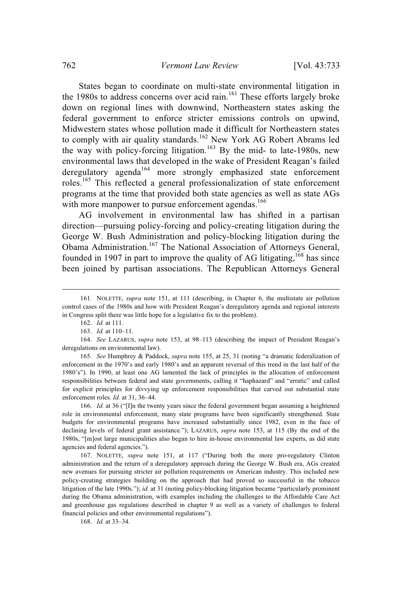States began to coordinate on multi-state environmental litigation in the 1980s to address concerns over acid rain.<sup>161</sup> These efforts largely broke down on regional lines with downwind, Northeastern states asking the federal government to enforce stricter emissions controls on upwind, Midwestern states whose pollution made it difficult for Northeastern states to comply with air quality standards.<sup>162</sup> New York AG Robert Abrams led the way with policy-forcing litigation.<sup>163</sup> By the mid- to late-1980s, new environmental laws that developed in the wake of President Reagan's failed deregulatory agenda<sup>164</sup> more strongly emphasized state enforcement roles.<sup>165</sup> This reflected a general professionalization of state enforcement programs at the time that provided both state agencies as well as state AGs with more manpower to pursue enforcement agendas.<sup>166</sup>

AG involvement in environmental law has shifted in a partisan direction—pursuing policy-forcing and policy-creating litigation during the George W. Bush Administration and policy-blocking litigation during the Obama Administration.<sup>167</sup> The National Association of Attorneys General, founded in 1907 in part to improve the quality of AG litigating, <sup>168</sup> has since been joined by partisan associations. The Republican Attorneys General

165. *See* Humphrey & Paddock, *supra* note 155, at 25, 31 (noting "a dramatic federalization of enforcement in the 1970's and early 1980's and an apparent reversal of this trend in the last half of the 1980's"). In 1990, at least one AG lamented the lack of principles in the allocation of enforcement responsibilities between federal and state governments, calling it "haphazard" and "erratic" and called for explicit principles for divvying up enforcement responsibilities that carved out substantial state enforcement roles. *Id.* at 31, 36–44.

166. *Id.* at 36 ("[I]n the twenty years since the federal government began assuming a heightened role in environmental enforcement, many state programs have been significantly strengthened. State budgets for environmental programs have increased substantially since 1982, even in the face of declining levels of federal grant assistance."); LAZARUS, *supra* note 153, at 115 (By the end of the 1980s, "[m]ost large municipalities also began to hire in-house environmental law experts, as did state agencies and federal agencies.").

167. NOLETTE, *supra* note 151, at 117 ("During both the more pro-regulatory Clinton administration and the return of a deregulatory approach during the George W. Bush era, AGs created new avenues for pursuing stricter air pollution requirements on American industry. This included new policy-creating strategies building on the approach that had proved so successful in the tobacco litigation of the late 1990s."); *id.* at 31 (noting policy-blocking litigation became "particularly prominent during the Obama administration, with examples including the challenges to the Affordable Care Act and greenhouse gas regulations described in chapter 9 as well as a variety of challenges to federal financial policies and other environmental regulations").

168. *Id.* at 33–34.

<sup>161</sup>*.* NOLETTE, *supra* note 151, at 111 (describing, in Chapter 6, the multistate air pollution control cases of the 1980s and how with President Reagan's deregulatory agenda and regional interests in Congress split there was little hope for a legislative fix to the problem).

<sup>162.</sup> *Id.* at 111.

<sup>163.</sup> *Id.* at 110–11.

<sup>164.</sup> *See* LAZARUS, *supra* note 153, at 98–113 (describing the impact of President Reagan's deregulations on environmental law).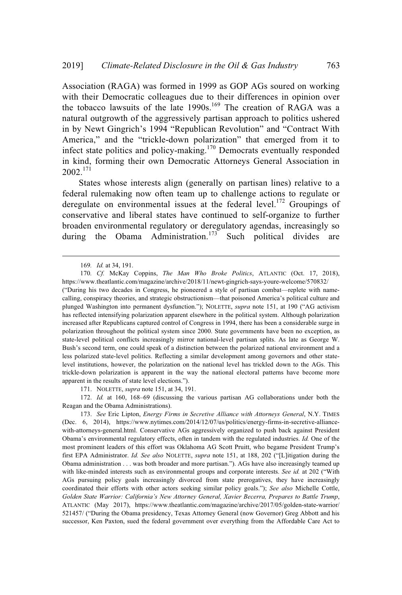Association (RAGA) was formed in 1999 as GOP AGs soured on working with their Democratic colleagues due to their differences in opinion over the tobacco lawsuits of the late 1990s.<sup>169</sup> The creation of RAGA was a natural outgrowth of the aggressively partisan approach to politics ushered in by Newt Gingrich's 1994 "Republican Revolution" and "Contract With America," and the "trickle-down polarization" that emerged from it to infect state politics and policy-making.<sup>170</sup> Democrats eventually responded in kind, forming their own Democratic Attorneys General Association in 2002.<sup>171</sup>

States whose interests align (generally on partisan lines) relative to a federal rulemaking now often team up to challenge actions to regulate or deregulate on environmental issues at the federal level.<sup>172</sup> Groupings of conservative and liberal states have continued to self-organize to further broaden environmental regulatory or deregulatory agendas, increasingly so during the Obama Administration.<sup>173</sup> Such political divides are

171. NOLETTE, *supra* note 151, at 34, 191.

172. *Id.* at 160, 168–69 (discussing the various partisan AG collaborations under both the Reagan and the Obama Administrations).

173. *See* Eric Lipton, *Energy Firms in Secretive Alliance with Attorneys General*, N.Y. TIMES (Dec. 6, 2014), https://www.nytimes.com/2014/12/07/us/politics/energy-firms-in-secretive-alliancewith-attorneys-general.html. Conservative AGs aggressively organized to push back against President Obama's environmental regulatory effects, often in tandem with the regulated industries. *Id.* One of the most prominent leaders of this effort was Oklahoma AG Scott Pruitt, who begame President Trump's first EPA Administrator. *Id. See also* NOLETTE, *supra* note 151, at 188, 202 ("[L]itigation during the Obama administration . . . was both broader and more partisan."). AGs have also increasingly teamed up with like-minded interests such as environmental groups and corporate interests. *See id.* at 202 ("With AGs pursuing policy goals increasingly divorced from state prerogatives, they have increasingly coordinated their efforts with other actors seeking similar policy goals."); *See also* Michelle Cottle, *Golden State Warrior: California's New Attorney General, Xavier Becerra, Prepares to Battle Trump*, ATLANTIC (May 2017), https://www.theatlantic.com/magazine/archive/2017/05/golden-state-warrior/ 521457/ ("During the Obama presidency, Texas Attorney General (now Governor) Greg Abbott and his successor, Ken Paxton, sued the federal government over everything from the Affordable Care Act to

<sup>169</sup>*. Id.* at 34, 191.

<sup>170</sup>*. Cf.* McKay Coppins, *The Man Who Broke Politics*, ATLANTIC (Oct. 17, 2018), https://www.theatlantic.com/magazine/archive/2018/11/newt-gingrich-says-youre-welcome/570832/

<sup>(&</sup>quot;During his two decades in Congress, he pioneered a style of partisan combat—replete with namecalling, conspiracy theories, and strategic obstructionism—that poisoned America's political culture and plunged Washington into permanent dysfunction."); NOLETTE, *supra* note 151, at 190 ("AG activism has reflected intensifying polarization apparent elsewhere in the political system. Although polarization increased after Republicans captured control of Congress in 1994, there has been a considerable surge in polarization throughout the political system since 2000. State governments have been no exception, as state-level political conflicts increasingly mirror national-level partisan splits. As late as George W. Bush's second term, one could speak of a distinction between the polarized national environment and a less polarized state-level politics. Reflecting a similar development among governors and other statelevel institutions, however, the polarization on the national level has trickled down to the AGs. This trickle-down polarization is apparent in the way the national electoral patterns have become more apparent in the results of state level elections.").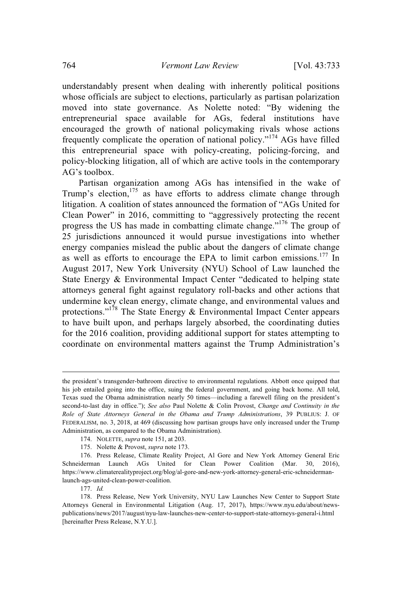understandably present when dealing with inherently political positions whose officials are subject to elections, particularly as partisan polarization moved into state governance. As Nolette noted: "By widening the entrepreneurial space available for AGs, federal institutions have encouraged the growth of national policymaking rivals whose actions frequently complicate the operation of national policy."<sup>174</sup> AGs have filled this entrepreneurial space with policy-creating, policing-forcing, and policy-blocking litigation, all of which are active tools in the contemporary AG's toolbox.

Partisan organization among AGs has intensified in the wake of Trump's election,<sup>175</sup> as have efforts to address climate change through litigation. A coalition of states announced the formation of "AGs United for Clean Power" in 2016, committing to "aggressively protecting the recent progress the US has made in combatting climate change."<sup>176</sup> The group of 25 jurisdictions announced it would pursue investigations into whether energy companies mislead the public about the dangers of climate change as well as efforts to encourage the EPA to limit carbon emissions.<sup>177</sup> In August 2017, New York University (NYU) School of Law launched the State Energy & Environmental Impact Center "dedicated to helping state attorneys general fight against regulatory roll-backs and other actions that undermine key clean energy, climate change, and environmental values and protections."<sup>178</sup> The State Energy  $\&$  Environmental Impact Center appears to have built upon, and perhaps largely absorbed, the coordinating duties for the 2016 coalition, providing additional support for states attempting to coordinate on environmental matters against the Trump Administration's

175. Nolette & Provost, *supra* note 173.

the president's transgender-bathroom directive to environmental regulations. Abbott once quipped that his job entailed going into the office, suing the federal government, and going back home. All told, Texas sued the Obama administration nearly 50 times—including a farewell filing on the president's second-to-last day in office."); *See also* Paul Nolette & Colin Provost, *Change and Continuity in the Role of State Attorneys General in the Obama and Trump Administrations*, 39 PUBLIUS: J. OF FEDERALISM, no. 3, 2018, at 469 (discussing how partisan groups have only increased under the Trump Administration, as compared to the Obama Administration).

<sup>174.</sup> NOLETTE, *supra* note 151, at 203.

<sup>176.</sup> Press Release, Climate Reality Project, Al Gore and New York Attorney General Eric Schneiderman Launch AGs United for Clean Power Coalition (Mar. 30, 2016), https://www.climaterealityproject.org/blog/al-gore-and-new-york-attorney-general-eric-schneidermanlaunch-ags-united-clean-power-coalition.

<sup>177.</sup> *Id.*

<sup>178.</sup> Press Release, New York University, NYU Law Launches New Center to Support State Attorneys General in Environmental Litigation (Aug. 17, 2017), https://www.nyu.edu/about/newspublications/news/2017/august/nyu-law-launches-new-center-to-support-state-attorneys-general-i.html [hereinafter Press Release, N.Y.U.].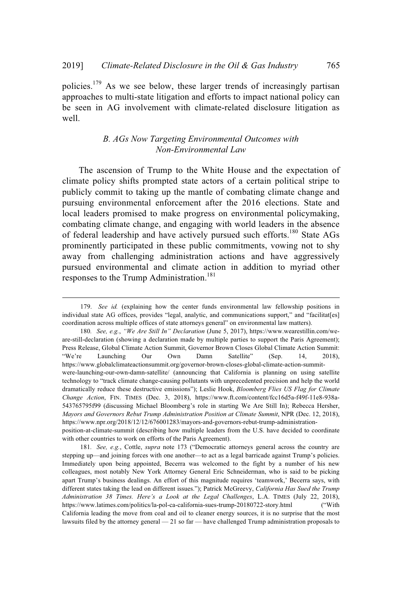policies.<sup>179</sup> As we see below, these larger trends of increasingly partisan approaches to multi-state litigation and efforts to impact national policy can be seen in AG involvement with climate-related disclosure litigation as well.

## *B. AGs Now Targeting Environmental Outcomes with Non-Environmental Law*

The ascension of Trump to the White House and the expectation of climate policy shifts prompted state actors of a certain political stripe to publicly commit to taking up the mantle of combating climate change and pursuing environmental enforcement after the 2016 elections. State and local leaders promised to make progress on environmental policymaking, combating climate change, and engaging with world leaders in the absence of federal leadership and have actively pursued such efforts.<sup>180</sup> State AGs prominently participated in these public commitments, vowing not to shy away from challenging administration actions and have aggressively pursued environmental and climate action in addition to myriad other responses to the Trump Administration.<sup>181</sup>

<sup>179.</sup> *See id.* (explaining how the center funds environmental law fellowship positions in individual state AG offices, provides "legal, analytic, and communications support," and "facilitat[es] coordination across multiple offices of state attorneys general" on environmental law matters).

<sup>180</sup>*. See, e.g.*, *"We Are Still In" Declaration* (June 5, 2017), https://www.wearestillin.com/weare-still-declaration (showing a declaration made by multiple parties to support the Paris Agreement); Press Release, Global Climate Action Summit, Governor Brown Closes Global Climate Action Summit: "We're Launching Our Own Damn Satellite" (Sep. 14, 2018), https://www.globalclimateactionsummit.org/governor-brown-closes-global-climate-action-summitwere-launching-our-own-damn-satellite/ (announcing that California is planning on using satellite technology to "track climate change-causing pollutants with unprecedented precision and help the world dramatically reduce these destructive emissions"); Leslie Hook, *Bloomberg Flies US Flag for Climate Change Action*, FIN. TIMES (Dec. 3, 2018), https://www.ft.com/content/fcc16d5a-f49f-11e8-938a-543765795f99 (discussing Michael Bloomberg's role in starting We Are Still In); Rebecca Hersher, *Mayors and Governors Rebut Trump Administration Position at Climate Summit*, NPR (Dec. 12, 2018), https://www.npr.org/2018/12/12/676001283/mayors-and-governors-rebut-trump-administrationposition-at-climate-summit (describing how multiple leaders from the U.S. have decided to coordinate with other countries to work on efforts of the Paris Agreement).

<sup>181</sup>*. See, e.g.*, Cottle, *supra* note 173 ("Democratic attorneys general across the country are stepping up—and joining forces with one another—to act as a legal barricade against Trump's policies. Immediately upon being appointed, Becerra was welcomed to the fight by a number of his new colleagues, most notably New York Attorney General Eric Schneiderman, who is said to be picking apart Trump's business dealings. An effort of this magnitude requires 'teamwork,' Becerra says, with different states taking the lead on different issues."); Patrick McGreevy, *California Has Sued the Trump Administration 38 Times. Here's a Look at the Legal Challenges*, L.A. TIMES (July 22, 2018), https://www.latimes.com/politics/la-pol-ca-california-sues-trump-20180722-story.html ("With California leading the move from coal and oil to cleaner energy sources, it is no surprise that the most lawsuits filed by the attorney general — 21 so far — have challenged Trump administration proposals to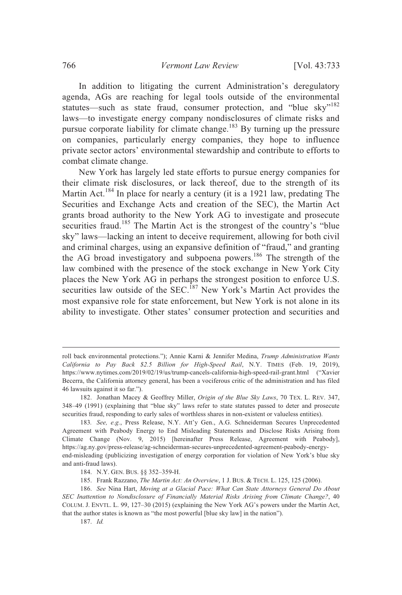In addition to litigating the current Administration's deregulatory agenda, AGs are reaching for legal tools outside of the environmental statutes—such as state fraud, consumer protection, and "blue sky"<sup>182</sup> laws—to investigate energy company nondisclosures of climate risks and pursue corporate liability for climate change.<sup>183</sup> By turning up the pressure on companies, particularly energy companies, they hope to influence private sector actors' environmental stewardship and contribute to efforts to combat climate change.

New York has largely led state efforts to pursue energy companies for their climate risk disclosures, or lack thereof, due to the strength of its Martin Act.<sup>184</sup> In place for nearly a century (it is a 1921 law, predating The Securities and Exchange Acts and creation of the SEC), the Martin Act grants broad authority to the New York AG to investigate and prosecute securities fraud.<sup>185</sup> The Martin Act is the strongest of the country's "blue" sky" laws—lacking an intent to deceive requirement, allowing for both civil and criminal charges, using an expansive definition of "fraud," and granting the AG broad investigatory and subpoena powers.<sup>186</sup> The strength of the law combined with the presence of the stock exchange in New York City places the New York AG in perhaps the strongest position to enforce U.S. securities law outside of the SEC.<sup>187</sup> New York's Martin Act provides the most expansive role for state enforcement, but New York is not alone in its ability to investigate. Other states' consumer protection and securities and

185. Frank Razzano, *The Martin Act: An Overview*, 1 J. BUS. & TECH. L. 125, 125 (2006).

roll back environmental protections."); Annie Karni & Jennifer Medina, *Trump Administration Wants California to Pay Back \$2.5 Billion for High-Speed Rail*, N.Y. TIMES (Feb. 19, 2019), https://www.nytimes.com/2019/02/19/us/trump-cancels-california-high-speed-rail-grant.html ("Xavier Becerra, the California attorney general, has been a vociferous critic of the administration and has filed 46 lawsuits against it so far.").

<sup>182.</sup> Jonathan Macey & Geoffrey Miller, *Origin of the Blue Sky Laws*, 70 TEX. L. REV. 347, 348–49 (1991) (explaining that "blue sky" laws refer to state statutes passed to deter and prosecute securities fraud, responding to early sales of worthless shares in non-existent or valueless entities).

<sup>183</sup>*. See, e.g.*, Press Release, N.Y. Att'y Gen., A.G. Schneiderman Secures Unprecedented Agreement with Peabody Energy to End Misleading Statements and Disclose Risks Arising from Climate Change (Nov. 9, 2015) [hereinafter Press Release, Agreement with Peabody], https://ag.ny.gov/press-release/ag-schneiderman-secures-unprecedented-agreement-peabody-energyend-misleading (publicizing investigation of energy corporation for violation of New York's blue sky and anti-fraud laws).

<sup>184.</sup> N.Y. GEN. BUS. §§ 352–359-H.

<sup>186.</sup> *See* Nina Hart, *Moving at a Glacial Pace: What Can State Attorneys General Do About SEC Inattention to Nondisclosure of Financially Material Risks Arising from Climate Change?*, 40 COLUM. J. ENVTL. L. 99, 127–30 (2015) (explaining the New York AG's powers under the Martin Act, that the author states is known as "the most powerful [blue sky law] in the nation").

<sup>187.</sup> *Id.*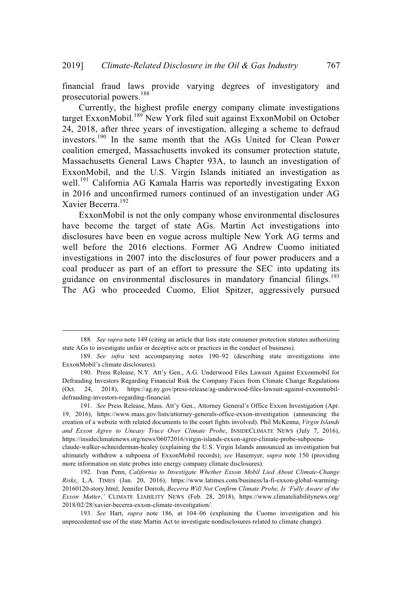financial fraud laws provide varying degrees of investigatory and prosecutorial powers. 188

Currently, the highest profile energy company climate investigations target ExxonMobil.<sup>189</sup> New York filed suit against ExxonMobil on October 24, 2018, after three years of investigation, alleging a scheme to defraud investors.<sup>190</sup> In the same month that the AGs United for Clean Power coalition emerged, Massachusetts invoked its consumer protection statute, Massachusetts General Laws Chapter 93A, to launch an investigation of ExxonMobil, and the U.S. Virgin Islands initiated an investigation as well.<sup>191</sup> California AG Kamala Harris was reportedly investigating Exxon in 2016 and unconfirmed rumors continued of an investigation under AG Xavier Becerra. 192

ExxonMobil is not the only company whose environmental disclosures have become the target of state AGs. Martin Act investigations into disclosures have been en vogue across multiple New York AG terms and well before the 2016 elections. Former AG Andrew Cuomo initiated investigations in 2007 into the disclosures of four power producers and a coal producer as part of an effort to pressure the SEC into updating its guidance on environmental disclosures in mandatory financial filings.<sup>193</sup> The AG who proceeded Cuomo, Eliot Spitzer, aggressively pursued

<sup>188</sup>*. See supra* note 149 (citing an article that lists state consumer protection statutes authorizing state AGs to investigate unfair or deceptive acts or practices in the conduct of business).

<sup>189</sup>*. See infra* text accompanying notes 190–92 (describing state investigations into ExxonMobil's climate disclosures).

<sup>190.</sup> Press Release, N.Y. Att'y Gen., A.G. Underwood Files Lawsuit Against Exxonmobil for Defrauding Investors Regarding Financial Risk the Company Faces from Climate Change Regulations (Oct. 24, 2018), https://ag.ny.gov/press-release/ag-underwood-files-lawsuit-against-exxonmobildefrauding-investors-regarding-financial.

<sup>191.</sup> *See* Press Release, Mass. Att'y Gen., Attorney General's Office Exxon Investigation (Apr. 19, 2016), https://www.mass.gov/lists/attorney-generals-office-exxon-investigation (announcing the creation of a website with related documents to the court fights involved). Phil McKenna, *Virgin Islands and Exxon Agree to Uneasy Truce Over Climate Probe*, INSIDECLIMATE NEWS (July 7, 2016), https://insideclimatenews.org/news/06072016/virgin-islands-exxon-agree-climate-probe-subpoenaclaude-walker-schneiderman-healey (explaining the U.S. Virgin Islands announced an investigation but ultimately withdrew a subpoena of ExxonMobil records); *see* Hasemyer, *supra* note 150 (providing more information on state probes into energy company climate disclosures).

<sup>192.</sup> Ivan Penn, *California to Investigate Whether Exxon Mobil Lied About Climate-Change Risks*, L.A. TIMES (Jan. 20, 2016), https://www.latimes.com/business/la-fi-exxon-global-warming-20160120-story.html; Jennifer Dorroh, *Becerra Will Not Confirm Climate Probe, Is 'Fully Aware of the Exxon Matter*,*'* CLIMATE LIABILITY NEWS (Feb. 28, 2018), https://www.climateliabilitynews.org/ 2018/02/28/xavier-becerra-exxon-climate-investigation/.

<sup>193.</sup> *See* Hart, *supra* note 186, at 104–06 (explaining the Cuomo investigation and his unprecedented use of the state Martin Act to investigate nondisclosures related to climate change).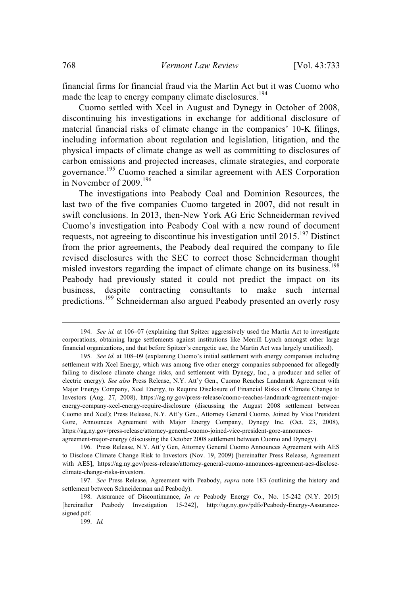financial firms for financial fraud via the Martin Act but it was Cuomo who made the leap to energy company climate disclosures.<sup>194</sup>

Cuomo settled with Xcel in August and Dynegy in October of 2008, discontinuing his investigations in exchange for additional disclosure of material financial risks of climate change in the companies' 10-K filings, including information about regulation and legislation, litigation, and the physical impacts of climate change as well as committing to disclosures of carbon emissions and projected increases, climate strategies, and corporate governance.<sup>195</sup> Cuomo reached a similar agreement with AES Corporation in November of 2009.<sup>196</sup>

The investigations into Peabody Coal and Dominion Resources, the last two of the five companies Cuomo targeted in 2007, did not result in swift conclusions. In 2013, then-New York AG Eric Schneiderman revived Cuomo's investigation into Peabody Coal with a new round of document requests, not agreeing to discontinue his investigation until 2015.<sup>197</sup> Distinct from the prior agreements, the Peabody deal required the company to file revised disclosures with the SEC to correct those Schneiderman thought misled investors regarding the impact of climate change on its business.<sup>198</sup> Peabody had previously stated it could not predict the impact on its business, despite contracting consultants to make such internal predictions.<sup>199</sup> Schneiderman also argued Peabody presented an overly rosy

<sup>194.</sup> *See id.* at 106–07 (explaining that Spitzer aggressively used the Martin Act to investigate corporations, obtaining large settlements against institutions like Merrill Lynch amongst other large financial organizations, and that before Spitzer's energetic use, the Martin Act was largely unutilized).

<sup>195.</sup> *See id.* at 108–09 (explaining Cuomo's initial settlement with energy companies including settlement with Xcel Energy, which was among five other energy companies subpoenaed for allegedly failing to disclose climate change risks, and settlement with Dynegy, Inc., a producer and seller of electric energy). *See also* Press Release, N.Y. Att'y Gen., Cuomo Reaches Landmark Agreement with Major Energy Company, Xcel Energy, to Require Disclosure of Financial Risks of Climate Change to Investors (Aug. 27, 2008), https://ag.ny.gov/press-release/cuomo-reaches-landmark-agreement-majorenergy-company-xcel-energy-require-disclosure (discussing the August 2008 settlement between Cuomo and Xcel); Press Release, N.Y. Att'y Gen., Attorney General Cuomo, Joined by Vice President Gore, Announces Agreement with Major Energy Company, Dynegy Inc. (Oct. 23, 2008), https://ag.ny.gov/press-release/attorney-general-cuomo-joined-vice-president-gore-announcesagreement-major-energy (discussing the October 2008 settlement between Cuomo and Dynegy).

<sup>196.</sup> Press Release, N.Y. Att'y Gen, Attorney General Cuomo Announces Agreement with AES to Disclose Climate Change Risk to Investors (Nov. 19, 2009) [hereinafter Press Release, Agreement with AES], https://ag.ny.gov/press-release/attorney-general-cuomo-announces-agreement-aes-discloseclimate-change-risks-investors.

<sup>197.</sup> *See* Press Release, Agreement with Peabody, *supra* note 183 (outlining the history and settlement between Schneiderman and Peabody).

<sup>198.</sup> Assurance of Discontinuance, *In re* Peabody Energy Co., No. 15-242 (N.Y. 2015) [hereinafter Peabody Investigation 15-242], http://ag.ny.gov/pdfs/Peabody-Energy-Assurancesigned.pdf.

<sup>199.</sup> *Id.*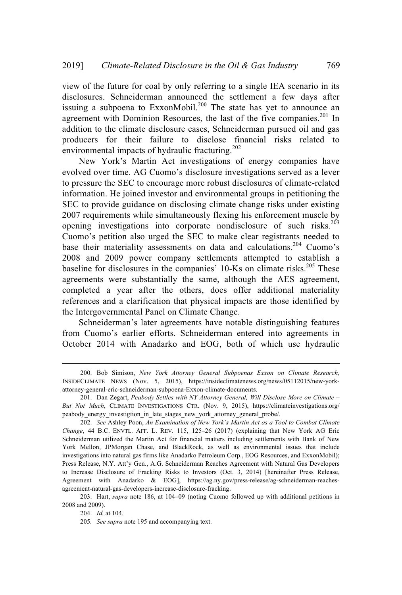view of the future for coal by only referring to a single IEA scenario in its disclosures. Schneiderman announced the settlement a few days after issuing a subpoena to ExxonMobil.<sup>200</sup> The state has yet to announce an agreement with Dominion Resources, the last of the five companies.<sup>201</sup> In addition to the climate disclosure cases, Schneiderman pursued oil and gas producers for their failure to disclose financial risks related to environmental impacts of hydraulic fracturing.<sup>202</sup>

New York's Martin Act investigations of energy companies have evolved over time. AG Cuomo's disclosure investigations served as a lever to pressure the SEC to encourage more robust disclosures of climate-related information. He joined investor and environmental groups in petitioning the SEC to provide guidance on disclosing climate change risks under existing 2007 requirements while simultaneously flexing his enforcement muscle by opening investigations into corporate nondisclosure of such risks.<sup>203</sup> Cuomo's petition also urged the SEC to make clear registrants needed to base their materiality assessments on data and calculations.<sup>204</sup> Cuomo's 2008 and 2009 power company settlements attempted to establish a baseline for disclosures in the companies' 10-Ks on climate risks.<sup>205</sup> These agreements were substantially the same, although the AES agreement, completed a year after the others, does offer additional materiality references and a clarification that physical impacts are those identified by the Intergovernmental Panel on Climate Change.

Schneiderman's later agreements have notable distinguishing features from Cuomo's earlier efforts. Schneiderman entered into agreements in October 2014 with Anadarko and EOG, both of which use hydraulic

203. Hart, *supra* note 186, at 104–09 (noting Cuomo followed up with additional petitions in 2008 and 2009).

<sup>200.</sup> Bob Simison, *New York Attorney General Subpoenas Exxon on Climate Research*, INSIDECLIMATE NEWS (Nov. 5, 2015), https://insideclimatenews.org/news/05112015/new-yorkattorney-general-eric-schneiderman-subpoena-Exxon-climate-documents.

<sup>201.</sup> Dan Zegart, *Peabody Settles with NY Attorney General, Will Disclose More on Climate – But Not Much*, CLIMATE INVESTIGATIONS CTR. (Nov. 9, 2015), https://climateinvestigations.org/ peabody\_energy\_investigtion\_in\_late\_stages\_new\_york\_attorney\_general\_probe/.

<sup>202.</sup> *See* Ashley Poon, *An Examination of New York's Martin Act as a Tool to Combat Climate Change*, 44 B.C. ENVTL. AFF. L. REV. 115, 125–26 (2017) (explaining that New York AG Eric Schneiderman utilized the Martin Act for financial matters including settlements with Bank of New York Mellon, JPMorgan Chase, and BlackRock, as well as environmental issues that include investigations into natural gas firms like Anadarko Petroleum Corp., EOG Resources, and ExxonMobil); Press Release, N.Y. Att'y Gen., A.G. Schneiderman Reaches Agreement with Natural Gas Developers to Increase Disclosure of Fracking Risks to Investors (Oct. 3, 2014) [hereinafter Press Release, Agreement with Anadarko & EOG], https://ag.ny.gov/press-release/ag-schneiderman-reachesagreement-natural-gas-developers-increase-disclosure-fracking.

<sup>204.</sup> *Id.* at 104.

<sup>205</sup>*. See supra* note 195 and accompanying text.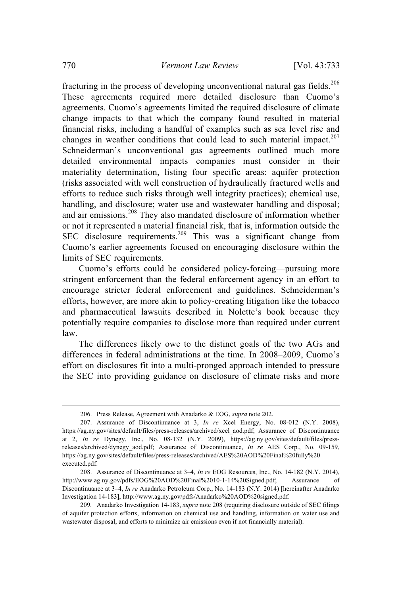fracturing in the process of developing unconventional natural gas fields.<sup>206</sup> These agreements required more detailed disclosure than Cuomo's agreements. Cuomo's agreements limited the required disclosure of climate change impacts to that which the company found resulted in material financial risks, including a handful of examples such as sea level rise and changes in weather conditions that could lead to such material impact.<sup>207</sup> Schneiderman's unconventional gas agreements outlined much more detailed environmental impacts companies must consider in their materiality determination, listing four specific areas: aquifer protection (risks associated with well construction of hydraulically fractured wells and efforts to reduce such risks through well integrity practices); chemical use, handling, and disclosure; water use and wastewater handling and disposal; and air emissions.<sup>208</sup> They also mandated disclosure of information whether or not it represented a material financial risk, that is, information outside the SEC disclosure requirements.<sup>209</sup> This was a significant change from Cuomo's earlier agreements focused on encouraging disclosure within the limits of SEC requirements.

Cuomo's efforts could be considered policy-forcing—pursuing more stringent enforcement than the federal enforcement agency in an effort to encourage stricter federal enforcement and guidelines. Schneiderman's efforts, however, are more akin to policy-creating litigation like the tobacco and pharmaceutical lawsuits described in Nolette's book because they potentially require companies to disclose more than required under current law.

The differences likely owe to the distinct goals of the two AGs and differences in federal administrations at the time. In 2008–2009, Cuomo's effort on disclosures fit into a multi-pronged approach intended to pressure the SEC into providing guidance on disclosure of climate risks and more

<sup>206.</sup> Press Release, Agreement with Anadarko & EOG, *supra* note 202.

<sup>207.</sup> Assurance of Discontinuance at 3, *In re* Xcel Energy, No. 08-012 (N.Y. 2008), https://ag.ny.gov/sites/default/files/press-releases/archived/xcel\_aod.pdf; Assurance of Discontinuance at 2, *In re* Dynegy, Inc., No. 08-132 (N.Y. 2009), https://ag.ny.gov/sites/default/files/pressreleases/archived/dynegy\_aod.pdf; Assurance of Discontinuance, *In re* AES Corp., No. 09-159, https://ag.ny.gov/sites/default/files/press-releases/archived/AES%20AOD%20Final%20fully%20 executed.pdf.

<sup>208.</sup> Assurance of Discontinuance at 3–4, *In re* EOG Resources, Inc., No. 14-182 (N.Y. 2014), http://www.ag.ny.gov/pdfs/EOG%20AOD%20Final%2010-1-14%20Signed.pdf; Assurance of Discontinuance at 3–4, *In re* Anadarko Petroleum Corp., No. 14-183 (N.Y. 2014) [hereinafter Anadarko Investigation 14-183], http://www.ag.ny.gov/pdfs/Anadarko%20AOD%20signed.pdf.

<sup>209</sup>*.* Anadarko Investigation 14-183, *supra* note 208 (requiring disclosure outside of SEC filings of aquifer protection efforts, information on chemical use and handling, information on water use and wastewater disposal, and efforts to minimize air emissions even if not financially material).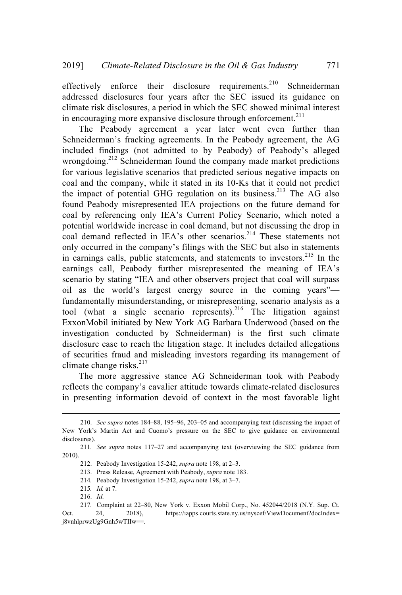effectively enforce their disclosure requirements.<sup>210</sup> Schneiderman addressed disclosures four years after the SEC issued its guidance on climate risk disclosures, a period in which the SEC showed minimal interest in encouraging more expansive disclosure through enforcement.<sup>211</sup>

The Peabody agreement a year later went even further than Schneiderman's fracking agreements. In the Peabody agreement, the AG included findings (not admitted to by Peabody) of Peabody's alleged wrongdoing.<sup>212</sup> Schneiderman found the company made market predictions for various legislative scenarios that predicted serious negative impacts on coal and the company, while it stated in its 10-Ks that it could not predict the impact of potential GHG regulation on its business.<sup>213</sup> The AG also found Peabody misrepresented IEA projections on the future demand for coal by referencing only IEA's Current Policy Scenario, which noted a potential worldwide increase in coal demand, but not discussing the drop in coal demand reflected in IEA's other scenarios.<sup>214</sup> These statements not only occurred in the company's filings with the SEC but also in statements in earnings calls, public statements, and statements to investors. $2^{15}$  In the earnings call, Peabody further misrepresented the meaning of IEA's scenario by stating "IEA and other observers project that coal will surpass oil as the world's largest energy source in the coming years" fundamentally misunderstanding, or misrepresenting, scenario analysis as a tool (what a single scenario represents).<sup>216</sup> The litigation against ExxonMobil initiated by New York AG Barbara Underwood (based on the investigation conducted by Schneiderman) is the first such climate disclosure case to reach the litigation stage. It includes detailed allegations of securities fraud and misleading investors regarding its management of climate change risks. $217$ 

The more aggressive stance AG Schneiderman took with Peabody reflects the company's cavalier attitude towards climate-related disclosures in presenting information devoid of context in the most favorable light

<sup>210.</sup> *See supra* notes 184–88, 195–96, 203–05 and accompanying text (discussing the impact of New York's Martin Act and Cuomo's pressure on the SEC to give guidance on environmental disclosures).

<sup>211</sup>*. See supra* notes 117–27 and accompanying text (overviewing the SEC guidance from 2010).

<sup>212.</sup> Peabody Investigation 15-242, *supra* note 198, at 2–3.

<sup>213.</sup> Press Release, Agreement with Peabody, *supra* note 183.

<sup>214</sup>*.* Peabody Investigation 15-242, *supra* note 198, at 3–7.

<sup>215</sup>*. Id.* at 7.

<sup>216.</sup> *Id*.

<sup>217</sup>*.* Complaint at 22–80, New York v. Exxon Mobil Corp., No. 452044/2018 (N.Y. Sup. Ct.

Oct. 24, 2018), https://iapps.courts.state.ny.us/nyscef/ViewDocument?docIndex= j8vnhlprwzUg9Gnh5wTIIw==.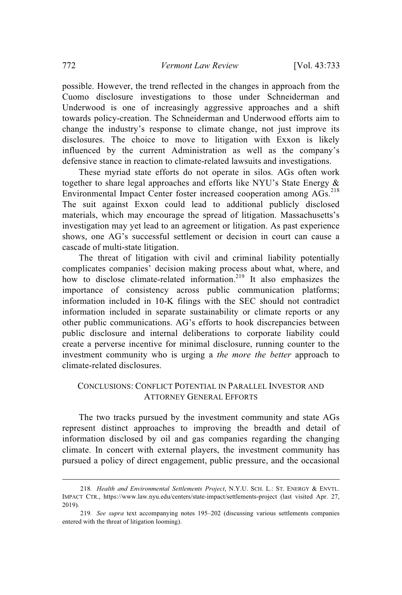possible. However, the trend reflected in the changes in approach from the Cuomo disclosure investigations to those under Schneiderman and Underwood is one of increasingly aggressive approaches and a shift towards policy-creation. The Schneiderman and Underwood efforts aim to change the industry's response to climate change, not just improve its disclosures. The choice to move to litigation with Exxon is likely influenced by the current Administration as well as the company's defensive stance in reaction to climate-related lawsuits and investigations.

These myriad state efforts do not operate in silos. AGs often work together to share legal approaches and efforts like NYU's State Energy & Environmental Impact Center foster increased cooperation among AGs.<sup>218</sup> The suit against Exxon could lead to additional publicly disclosed materials, which may encourage the spread of litigation. Massachusetts's investigation may yet lead to an agreement or litigation. As past experience shows, one AG's successful settlement or decision in court can cause a cascade of multi-state litigation.

The threat of litigation with civil and criminal liability potentially complicates companies' decision making process about what, where, and how to disclose climate-related information.<sup>219</sup> It also emphasizes the importance of consistency across public communication platforms; information included in 10-K filings with the SEC should not contradict information included in separate sustainability or climate reports or any other public communications. AG's efforts to hook discrepancies between public disclosure and internal deliberations to corporate liability could create a perverse incentive for minimal disclosure, running counter to the investment community who is urging a *the more the better* approach to climate-related disclosures.

### CONCLUSIONS: CONFLICT POTENTIAL IN PARALLEL INVESTOR AND ATTORNEY GENERAL EFFORTS

The two tracks pursued by the investment community and state AGs represent distinct approaches to improving the breadth and detail of information disclosed by oil and gas companies regarding the changing climate. In concert with external players, the investment community has pursued a policy of direct engagement, public pressure, and the occasional

<sup>218</sup>*. Health and Environmental Settlements Project*, N.Y.U. SCH. L.: ST. ENERGY & ENVTL. IMPACT CTR., https://www.law.nyu.edu/centers/state-impact/settlements-project (last visited Apr. 27, 2019).

<sup>219</sup>*. See supra* text accompanying notes 195–202 (discussing various settlements companies entered with the threat of litigation looming).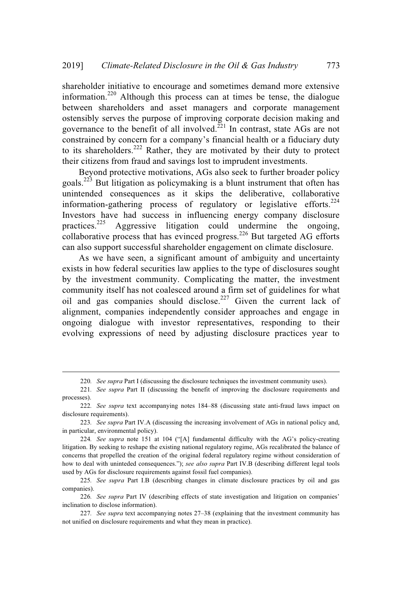shareholder initiative to encourage and sometimes demand more extensive information.<sup>220</sup> Although this process can at times be tense, the dialogue between shareholders and asset managers and corporate management ostensibly serves the purpose of improving corporate decision making and governance to the benefit of all involved.<sup>221</sup> In contrast, state AGs are not constrained by concern for a company's financial health or a fiduciary duty to its shareholders.<sup>222</sup> Rather, they are motivated by their duty to protect their citizens from fraud and savings lost to imprudent investments.

Beyond protective motivations, AGs also seek to further broader policy goals. <sup>223</sup> But litigation as policymaking is a blunt instrument that often has unintended consequences as it skips the deliberative, collaborative information-gathering process of regulatory or legislative efforts.<sup>224</sup> Investors have had success in influencing energy company disclosure practices.<sup>225</sup> Aggressive litigation could undermine the ongoing, collaborative process that has evinced progress.<sup>226</sup> But targeted AG efforts can also support successful shareholder engagement on climate disclosure.

As we have seen, a significant amount of ambiguity and uncertainty exists in how federal securities law applies to the type of disclosures sought by the investment community. Complicating the matter, the investment community itself has not coalesced around a firm set of guidelines for what oil and gas companies should disclose.<sup>227</sup> Given the current lack of alignment, companies independently consider approaches and engage in ongoing dialogue with investor representatives, responding to their evolving expressions of need by adjusting disclosure practices year to

<sup>220</sup>*. See supra* Part I (discussing the disclosure techniques the investment community uses).

<sup>221</sup>*. See supra* Part II (discussing the benefit of improving the disclosure requirements and processes).

<sup>222</sup>*. See supra* text accompanying notes 184–88 (discussing state anti-fraud laws impact on disclosure requirements).

<sup>223</sup>*. See supra* Part IV.A (discussing the increasing involvement of AGs in national policy and, in particular, environmental policy).

<sup>224</sup>*. See supra* note 151 at 104 ("[A] fundamental difficulty with the AG's policy-creating litigation. By seeking to reshape the existing national regulatory regime, AGs recalibrated the balance of concerns that propelled the creation of the original federal regulatory regime without consideration of how to deal with uninteded consequences."); *see also supra* Part IV.B (describing different legal tools used by AGs for disclosure requirements against fossil fuel companies).

<sup>225</sup>*. See supra* Part I.B (describing changes in climate disclosure practices by oil and gas companies).

<sup>226</sup>*. See supra* Part IV (describing effects of state investigation and litigation on companies' inclination to disclose information).

<sup>227</sup>*. See supra* text accompanying notes 27–38 (explaining that the investment community has not unified on disclosure requirements and what they mean in practice).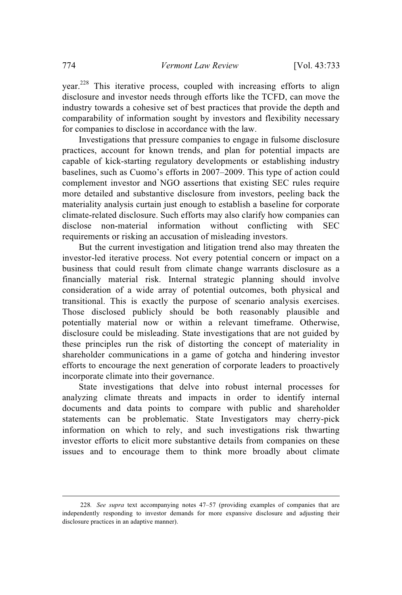year.<sup>228</sup> This iterative process, coupled with increasing efforts to align disclosure and investor needs through efforts like the TCFD, can move the industry towards a cohesive set of best practices that provide the depth and comparability of information sought by investors and flexibility necessary for companies to disclose in accordance with the law.

Investigations that pressure companies to engage in fulsome disclosure practices, account for known trends, and plan for potential impacts are capable of kick-starting regulatory developments or establishing industry baselines, such as Cuomo's efforts in 2007–2009. This type of action could complement investor and NGO assertions that existing SEC rules require more detailed and substantive disclosure from investors, peeling back the materiality analysis curtain just enough to establish a baseline for corporate climate-related disclosure. Such efforts may also clarify how companies can disclose non-material information without conflicting with SEC requirements or risking an accusation of misleading investors.

But the current investigation and litigation trend also may threaten the investor-led iterative process. Not every potential concern or impact on a business that could result from climate change warrants disclosure as a financially material risk. Internal strategic planning should involve consideration of a wide array of potential outcomes, both physical and transitional. This is exactly the purpose of scenario analysis exercises. Those disclosed publicly should be both reasonably plausible and potentially material now or within a relevant timeframe. Otherwise, disclosure could be misleading. State investigations that are not guided by these principles run the risk of distorting the concept of materiality in shareholder communications in a game of gotcha and hindering investor efforts to encourage the next generation of corporate leaders to proactively incorporate climate into their governance.

State investigations that delve into robust internal processes for analyzing climate threats and impacts in order to identify internal documents and data points to compare with public and shareholder statements can be problematic. State Investigators may cherry-pick information on which to rely, and such investigations risk thwarting investor efforts to elicit more substantive details from companies on these issues and to encourage them to think more broadly about climate

<sup>228</sup>*. See supra* text accompanying notes 47–57 (providing examples of companies that are independently responding to investor demands for more expansive disclosure and adjusting their disclosure practices in an adaptive manner).